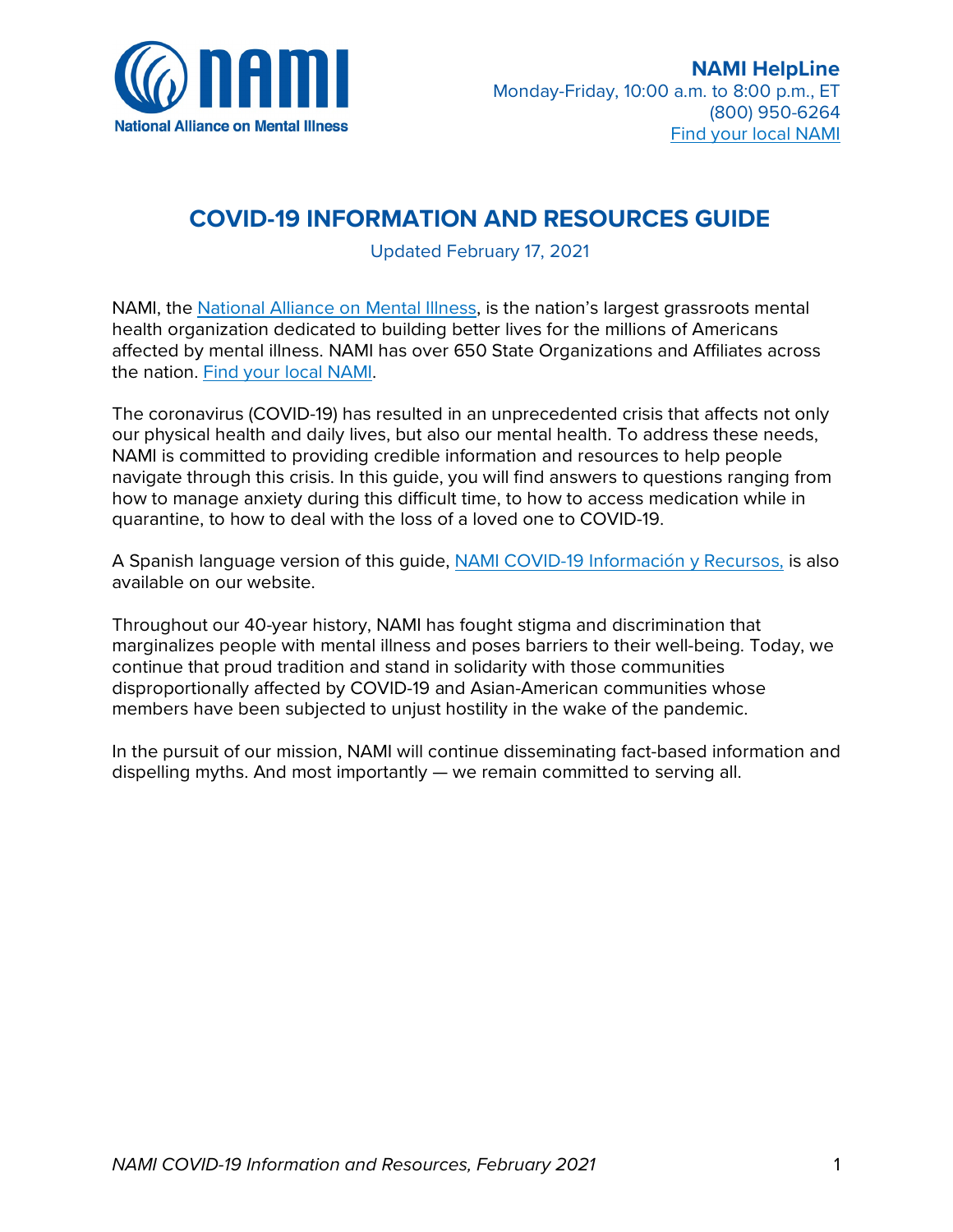

# **COVID-19 Resource and Information Guide**



Additional information and updates at **www.nami.org/covid-19**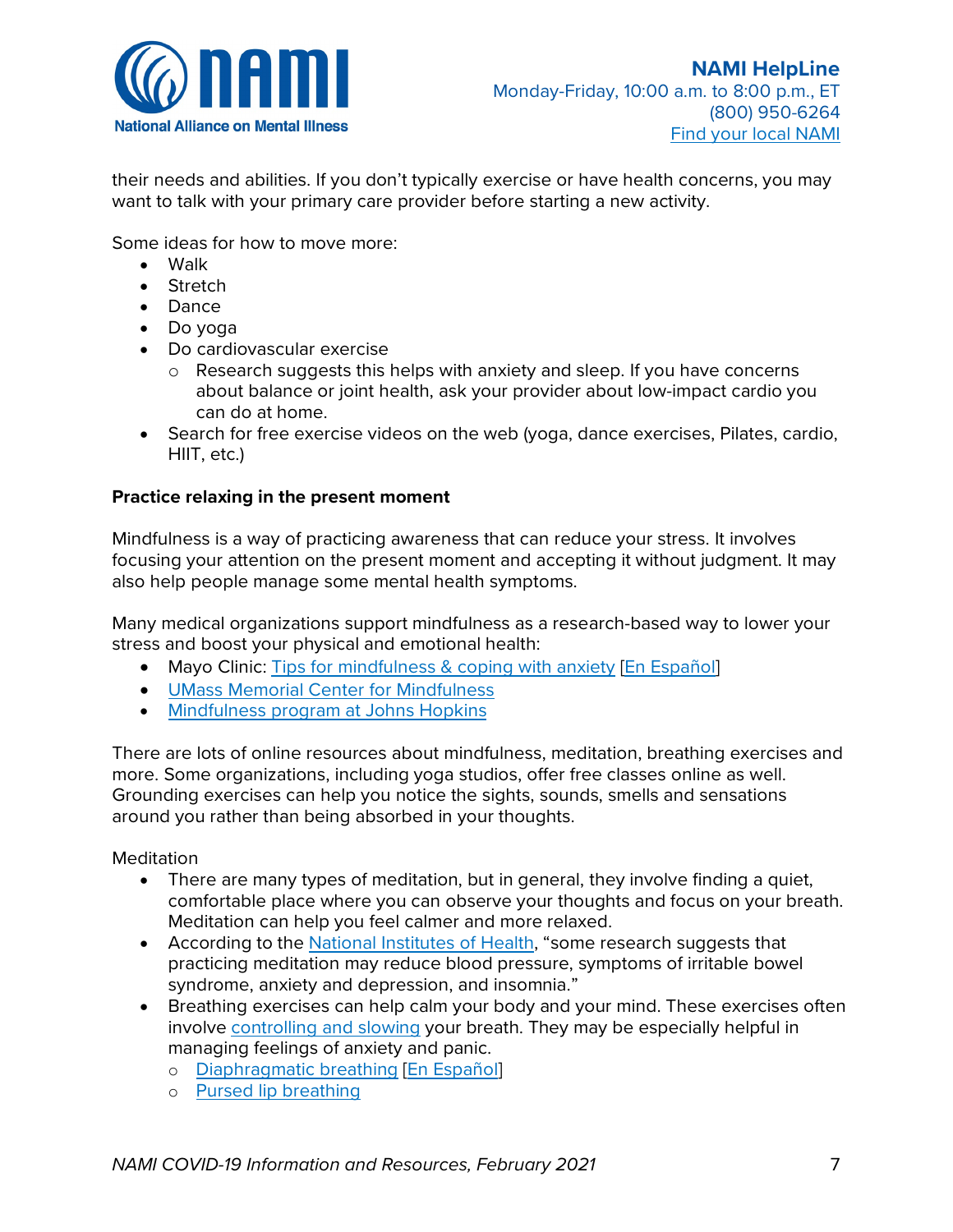

Be selective about how you consume news. It's generally a good idea to stay engaged and informed. Having some limits on your news consumption can help:

- Watching or listening to the same news constantly can increase stress. Reading can be an easier medium to control how much and what kind of information you're absorbing.
- Set limits on when and for how long you consume news and information, including through social media. It may help you to choose a couple of 15-minute blocks each day when you will check news/social media and limit your news consumption to that time.
- False information spreads very easily on social media and can have serious consequences for individual and public health. Always verify sources and make sure they are reputable, especially before sharing anything.

### **Follow healthy daily routines as much as possible**

Your daily habits and routines can help you feel more in control of your own well-being.

Even simple actions can make a difference:

- Make your bed
- Get dressed
- Connect with loved ones
- Move your body
- Make time for breaks
	- o If possible, take regular short breaks during work or between shifts. During these breaks, go outside and engage in physical activity if you can.
- Practice good hygiene, especially by cleaning your hands
- Prioritize sleep. Here are some [recommendations for getting good sleep](https://www.cdc.gov/sleep/about_sleep/sleep_hygiene.html) [\[En Español\]](https://www.mayoclinic.org/es-es/healthy-lifestyle/adult-health/in-depth/sleep/art-20048379) o Getting enough regular sleep is critical for your immune system
- Eat nutritious food as much as possible, especially fruits and vegetables

### **Take care of yourself through exercise and movement**

If you're staying home, you may be less physically active than usual. It's important to keep movement as part of your daily life, whether it's exercise or light movement like stretching and making sure you're not sitting down too long.

Exercise is a great way to care for your body. It is a powerful way to improve both your physical and mental health. Research suggests that when we exercise, our brain releases chemicals that help us better manage stress and anxiety.

Find out more about the link between exercise and mental health:

- [Exercise, brain health and mental health](https://www.apa.org/topics/exercise-stress) [\[En Español\]](https://www.apa.org/centrodeapoyo/ejercicio)
- [Managing stress with exercise](https://www.mayoclinic.org/healthy-lifestyle/stress-management/in-depth/exercise-and-stress/art-20044469) [\[En Español\]](https://www.mayoclinic.org/es-es/healthy-lifestyle/stress-management/in-depth/exercise-and-stress/art-20044469)

There are many different ways to exercise. Many of them are free, don't require any equipment and can be done at home. Most people can find an exercise routine that fits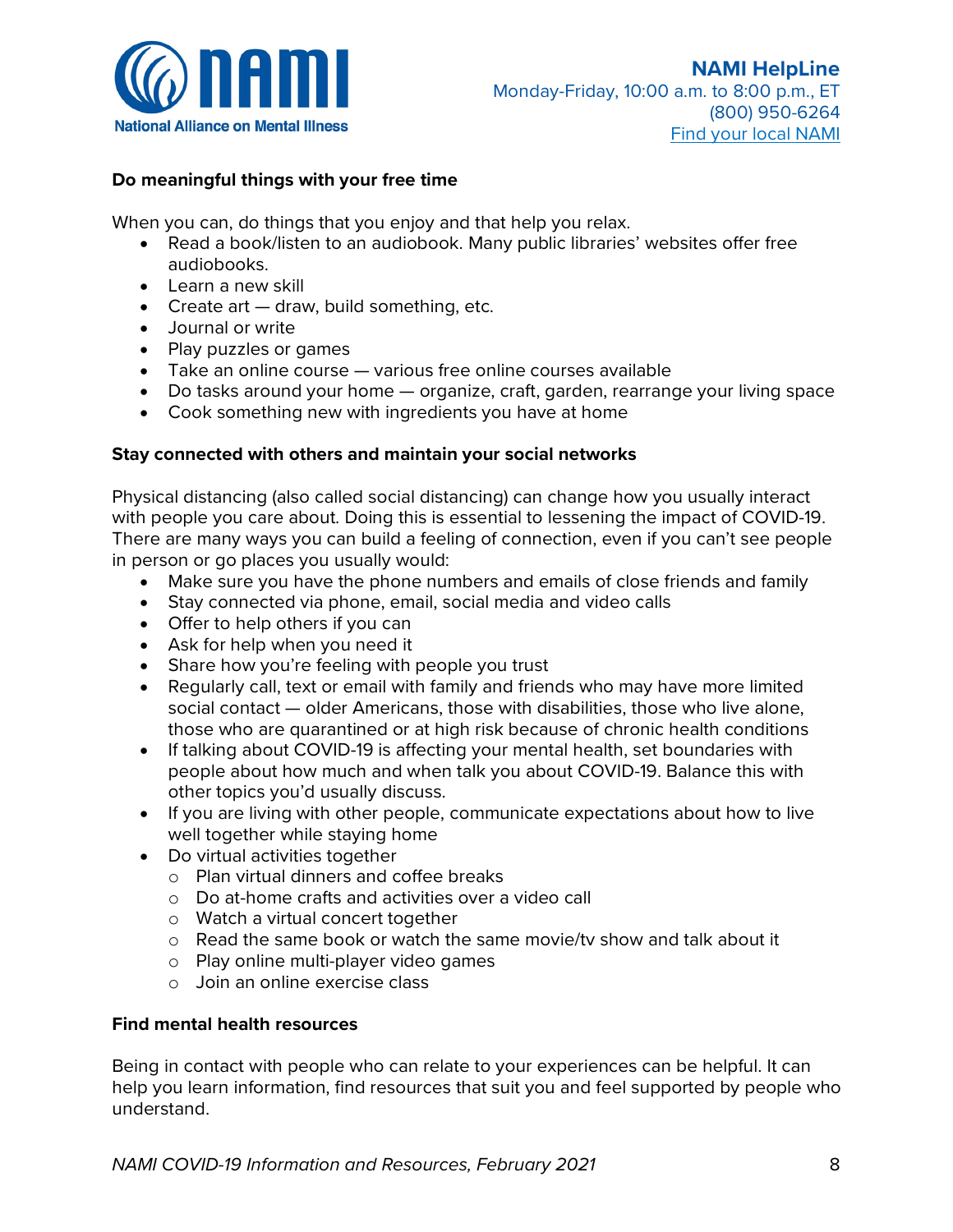

their needs and abilities. If you don't typically exercise or have health concerns, you may want to talk with your primary care provider before starting a new activity.

Some ideas for how to move more:

- Walk
- Stretch
- Dance
- Do yoga
- Do cardiovascular exercise
	- $\circ$  Research suggests this helps with anxiety and sleep. If you have concerns about balance or joint health, ask your provider about low-impact cardio you can do at home.
- Search for free exercise videos on the web (yoga, dance exercises, Pilates, cardio, HIIT, etc.)

### **Practice relaxing in the present moment**

Mindfulness is a way of practicing awareness that can reduce your stress. It involves focusing your attention on the present moment and accepting it without judgment. It may also help people manage some mental health symptoms.

Many medical organizations support mindfulness as a research-based way to lower your stress and boost your physical and emotional health:

- Mayo Clinic: [Tips for mindfulness & coping with anxiety](https://newsnetwork.mayoclinic.org/discussion/covid-19-tips-for-mindfulness-coping-with-anxiety/) [\[En Español\]](https://www.mayoclinic.org/es-es/tests-procedures/meditation/in-depth/meditation/art-20045858)
- [UMass Memorial Center for Mindfulness](https://www.umassmemorialhealthcare.org/umass-memorial-center-mindfulness)
- [Mindfulness program at Johns Hopkins](https://www.hopkinsmedicine.org/psychiatry/specialty_areas/mindfulness/)

There are lots of online resources about mindfulness, meditation, breathing exercises and more. Some organizations, including yoga studios, offer free classes online as well. Grounding exercises can help you notice the sights, sounds, smells and sensations around you rather than being absorbed in your thoughts.

Meditation

- There are many types of meditation, but in general, they involve finding a quiet, comfortable place where you can observe your thoughts and focus on your breath. Meditation can help you feel calmer and more relaxed.
- According to the [National Institutes of Health,](https://www.nccih.nih.gov/health/meditation-in-depth) "some research suggests that practicing meditation may reduce blood pressure, symptoms of irritable bowel syndrome, anxiety and depression, and insomnia."
- Breathing exercises can help calm your body and your mind. These exercises often involve [controlling and slowing](https://www.health.harvard.edu/mind-and-mood/relaxation-techniques-breath-control-helps-quell-errant-stress-response) your breath. They may be especially helpful in managing feelings of anxiety and panic.
	- o [Diaphragmatic](https://www.health.harvard.edu/lung-health-and-disease/learning-diaphragmatic-breathing) [breathing](https://www.health.harvard.edu/lung-health-and-disease/learning-diaphragmatic-breathing) [\[En Español\]](https://www.uncmedicalcenter.org/app/files/public/201/pdf-medctr-rehab-diaphbreathingspanish.pdf)
	- o Pursed [lip breathing](https://www.lung.org/lung-health-diseases/wellness/breathing-exercises)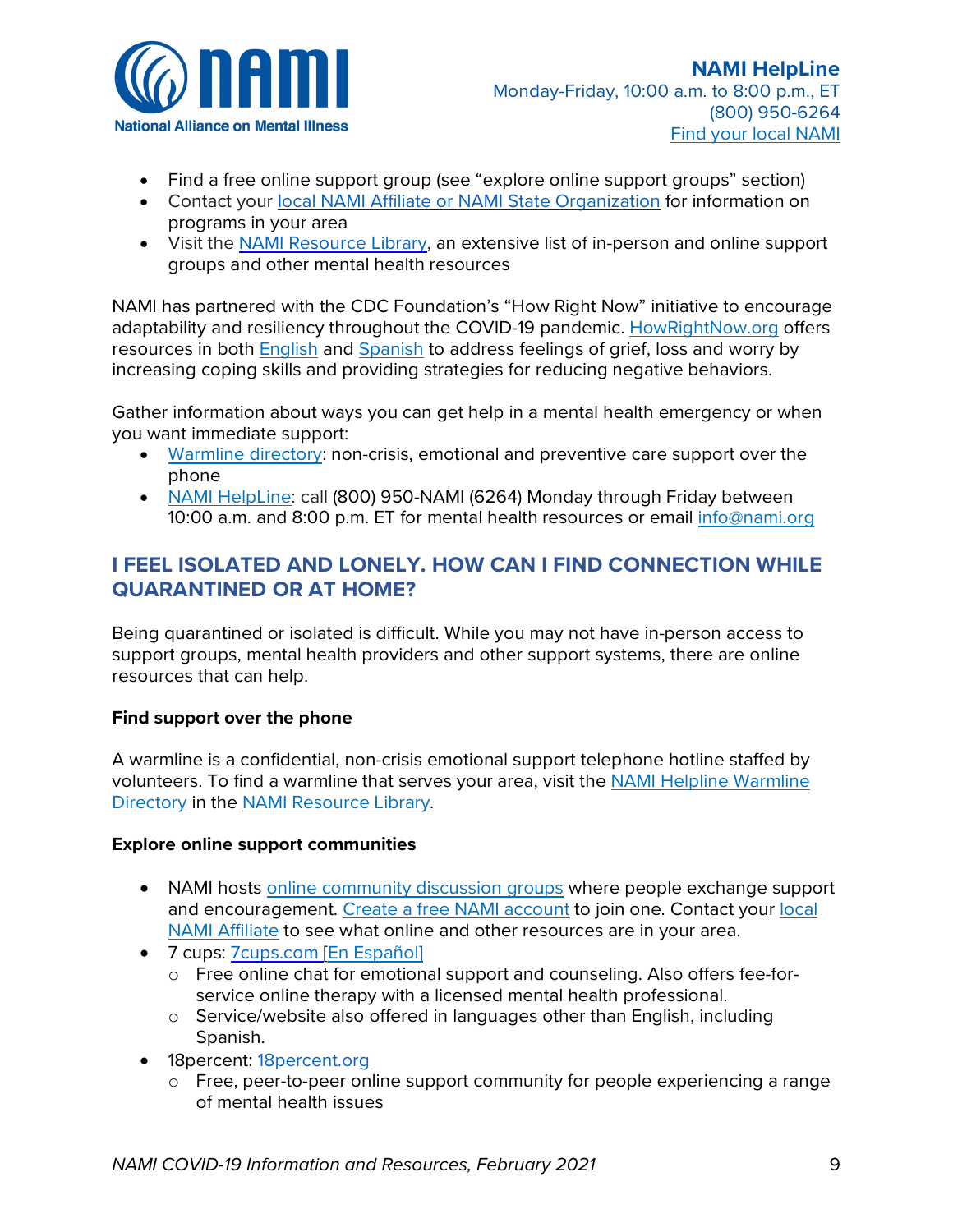

### **Do meaningful things with your free time**

When you can, do things that you enjoy and that help you relax.

- Read a book/listen to an audiobook. Many public libraries' websites offer free audiobooks.
- Learn a new skill
- Create art draw, build something, etc.
- Journal or write
- Play puzzles or games
- Take an online course various free online courses available
- Do tasks around your home organize, craft, garden, rearrange your living space
- Cook something new with ingredients you have at home

### **Stay connected with others and maintain your social networks**

Physical distancing (also called social distancing) can change how you usually interact with people you care about. Doing this is essential to lessening the impact of COVID-19. There are many ways you can build a feeling of connection, even if you can't see people in person or go places you usually would:

- Make sure you have the phone numbers and emails of close friends and family
- Stay connected via phone, email, social media and video calls
- Offer to help others if you can
- Ask for help when you need it
- Share how you're feeling with people you trust
- Regularly call, text or email with family and friends who may have more limited social contact — older Americans, those with disabilities, those who live alone, those who are quarantined or at high risk because of chronic health conditions
- If talking about COVID-19 is affecting your mental health, set boundaries with people about how much and when talk you about COVID-19. Balance this with other topics you'd usually discuss.
- If you are living with other people, communicate expectations about how to live well together while staying home
- Do virtual activities together
	- o Plan virtual dinners and coffee breaks
	- o Do at-home crafts and activities over a video call
	- o Watch a virtual concert together
	- o Read the same book or watch the same movie/tv show and talk about it
	- o Play online multi-player video games
	- o Join an online exercise class

### **Find mental health resources**

Being in contact with people who can relate to your experiences can be helpful. It can help you learn information, find resources that suit you and feel supported by people who understand.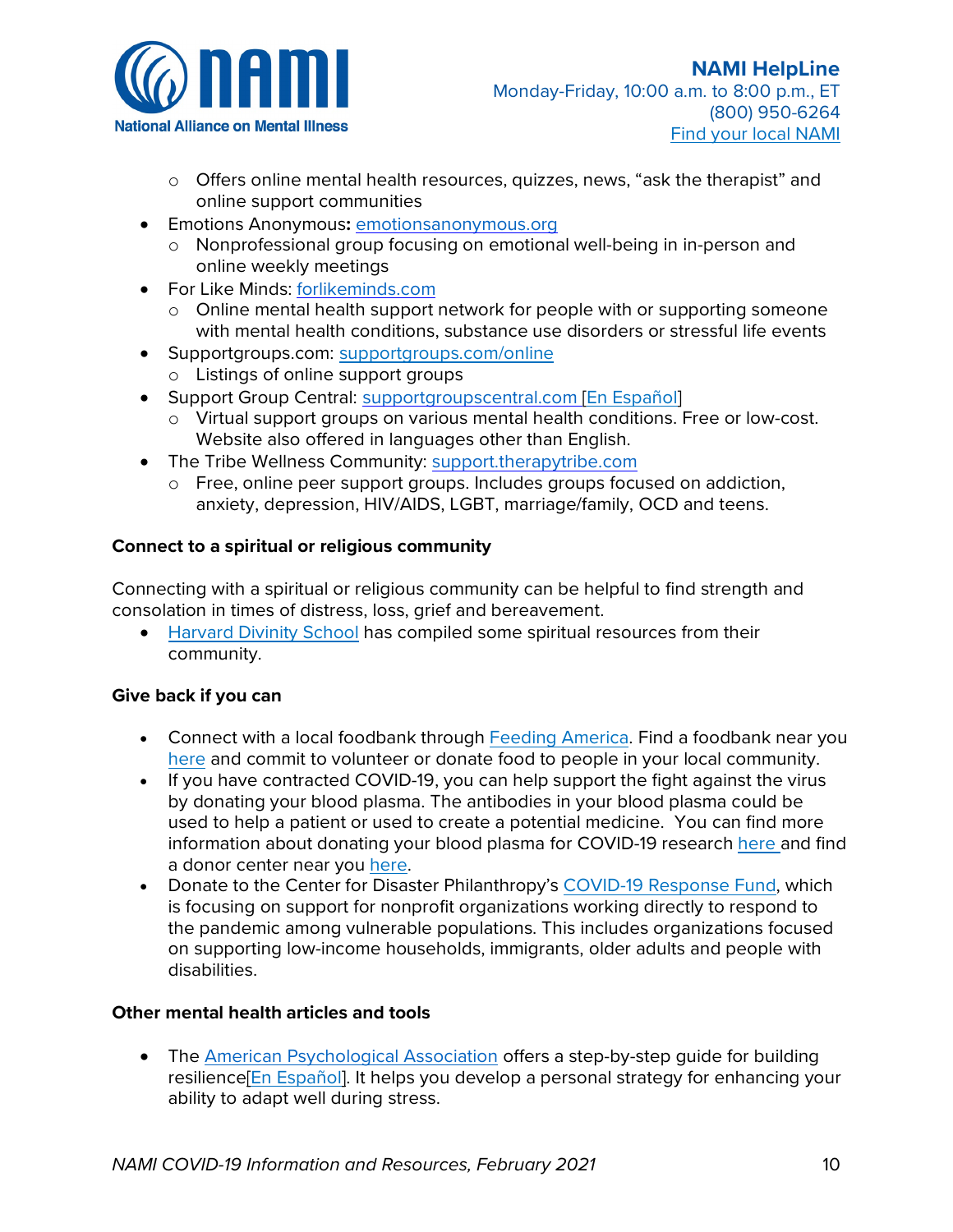

- Find a free online support group (see "explore online support groups" section)
- Contact your local NAMI Affiliate or NAMI [State Organization](https://www.nami.org/find-your-local-nami) for information on programs in your area
- Visit the NAMI [Resource Library, a](https://www.nami.org/Find-Support/NAMI-HelpLine/NAMI-Resource-Library)n extensive list of in-person and online support groups and other mental health resources

NAMI has partnered with the CDC Foundation's "How Right Now" initiative to encourage adaptability and resiliency throughout the COVID-19 pandemic. [HowRightNow.org](file://fileserver4.nami.org/shared/communications/Publications/COVID-19%20Resource%20Guide%20-%20Helpline/HowRightNow.org) offers resources in both [English](https://howrightnow.org/?utm_source=NAMI&utm_medium=Partner%20Toolkit&utm_campaign=HRN&utm_content=English) and [Spanish](https://howrightnow.org/es/?utm_source=NAMI&utm_medium=Partner%20Toolkit&utm_campaign=HRN&utm_content=Spanish) to address feelings of grief, loss and worry by increasing coping skills and providing strategies for reducing negative behaviors.

Gather information about ways you can get help in a mental health emergency or when you want immediate support:

- [Warmline](https://www.nami.org/NAMI/media/NAMI-Media/BlogImageArchive/2020/NAMI-National-HelpLine-WarmLine-Directory-3-11-20.pdf) directory: non-crisis, emotional and preventive care support over the phone
- NAMI [HelpLine:](https://www.nami.org/find-support/nami-helpline) call (800) 950-NAMI (6264) Monday through Friday between 10:00 a.m. and 8:00 p.m. ET for mental health resources or email [info@nami.org](mailto:info@nami.org)

# **I FEEL ISOLATED AND LONELY. HOW CAN I FIND CONNECTION WHILE QUARANTINED OR AT HOME?**

Being quarantined or isolated is difficult. While you may not have in-person access to support groups, mental health providers and other support systems, there are online resources that can help.

### **Find support over the phone**

A warmline is a confidential, non-crisis emotional support telephone hotline staffed by volunteers. To find a warmline that serves your area, visit the [NAMI Helpline Warmline](https://www.nami.org/NAMI/media/NAMI-Media/BlogImageArchive/2020/NAMI-National-HelpLine-WarmLine-Directory-3-11-20.pdf)  [Directory](https://www.nami.org/NAMI/media/NAMI-Media/BlogImageArchive/2020/NAMI-National-HelpLine-WarmLine-Directory-3-11-20.pdf) in the [NAMI Resource Library.](https://www.nami.org/Find-Support/NAMI-HelpLine/NAMI-Resource-Library)

### **Explore online support communities**

- NAMI hosts [online community discussion groups](https://www.nami.org/Find-Support/Discussion-Groups) where people exchange support and encouragement. [Create a free NAMI](https://www.nami.org/Get-Involved/Join-NAMI/Register/) account to join one. Contact your [local](https://www.nami.org/find-your-local-nami)  NAMI [Affiliate](https://www.nami.org/find-your-local-nami) to see what online and other resources are in your area.
- 7 cups: 7 cups.com [\[En Español\]](https://www.7cups.com/es)
	- o Free online chat for emotional support and counseling. Also offers fee-forservice online therapy with a licensed mental health professional.
	- o Service/website also offered in languages other than English, including Spanish.
- 18 percent: 18 percent.org
	- o Free, peer-to-peer online support community for people experiencing a range of mental health issues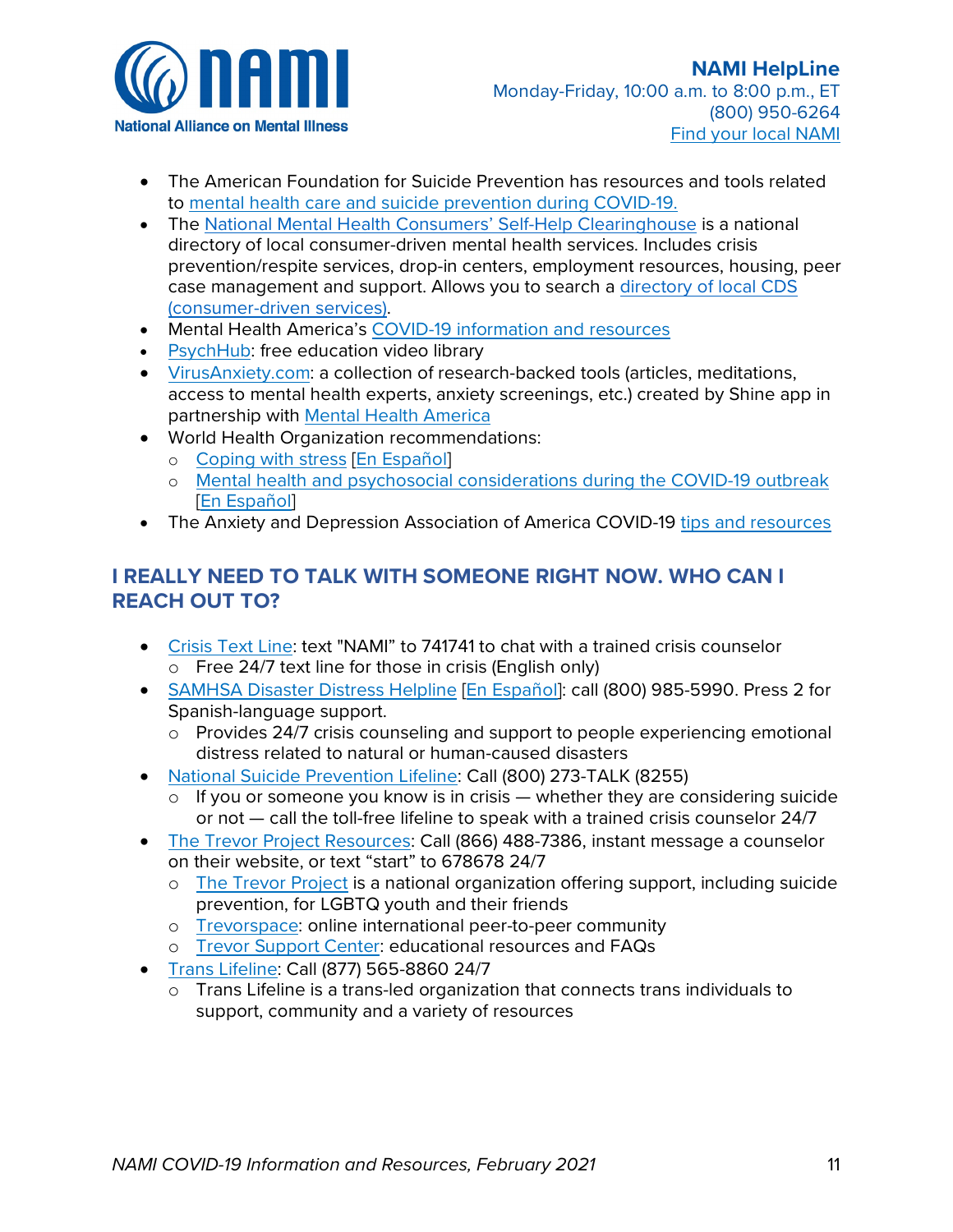

- o Offers online mental health resources, quizzes, news, "ask the therapist" and online support communities
- Emotions Anonymous**:** [emotionsanonymous.org](http://www.emotionsanonymous.org/)
	- o Nonprofessional group focusing on emotional well-being in in-person and online weekly meetings
- For Like Minds: [forlikeminds.com](http://www.forlikeminds.com/)
	- o Online mental health support network for people with or supporting someone with mental health conditions, substance use disorders or stressful life events
- Supportgroups.com: [supportgroups.com/online](https://www.supportgroups.com/online)
	- o Listings of online support groups
- Support Group Central: [supportgroupscentral.com](http://www.supportgroupscentral.com/) [\[En Español\]](https://www.supportgroupscentral.com/index.cfm?&CFID=2157640&CFTOKEN=354d1088c28cff6d-08A1BD33-96CD-E704-3B4E33CB027AFF54)
	- o Virtual support groups on various mental health conditions. Free or low-cost. Website also offered in languages other than English.
- The Tribe Wellness Community: [support.therapytribe.com](https://support.therapytribe.com/)
	- o Free, online peer support groups. Includes groups focused on addiction, anxiety, depression, HIV/AIDS, LGBT, marriage/family, OCD and teens.

### **Connect to a spiritual or religious community**

Connecting with a spiritual or religious community can be helpful to find strength and consolation in times of distress, loss, grief and bereavement.

• [Harvard Divinity School](https://hds.harvard.edu/life-at-hds/religious-and-spiritual-life/spiritual-resources-during-covid-19-pandemic) has compiled some spiritual resources from their community.

### **Give back if you can**

- Connect with a local foodbank through [Feeding America.](https://www.feedingamerica.org/) Find a foodbank near you [here](https://www.feedingamerica.org/find-your-local-foodbank) and commit to volunteer or donate food to people in your local community.
- If you have contracted COVID-19, you can help support the fight against the virus by donating your blood plasma. The antibodies in your blood plasma could be used to help a patient or used to create a potential medicine. You can find more information about donating your blood plasma for COVID-19 research [here a](https://www.thefightisinus.org/en-us#how-it-works)nd find a donor center near you [here.](https://www.thefightisinus.org/en-us#home)
- Donate to the Center for Disaster Philanthropy's [COVID-19 Response Fund,](https://disasterphilanthropy.org/cdp-fund/cdp-covid-19-response-fund/) which is focusing on support for nonprofit organizations working directly to respond to the pandemic among vulnerable populations. This includes organizations focused on supporting low-income households, immigrants, older adults and people with disabilities.

### **Other mental health articles and tools**

• The [American Psychological Association](http://www.apa.org/) offers a step-by-step guide for building resilienc[e\[En Español\].](https://www.apa.org/centrodeapoyo/resiliencia-camino) It helps you develop a personal strategy for enhancing your ability to adapt well during stress.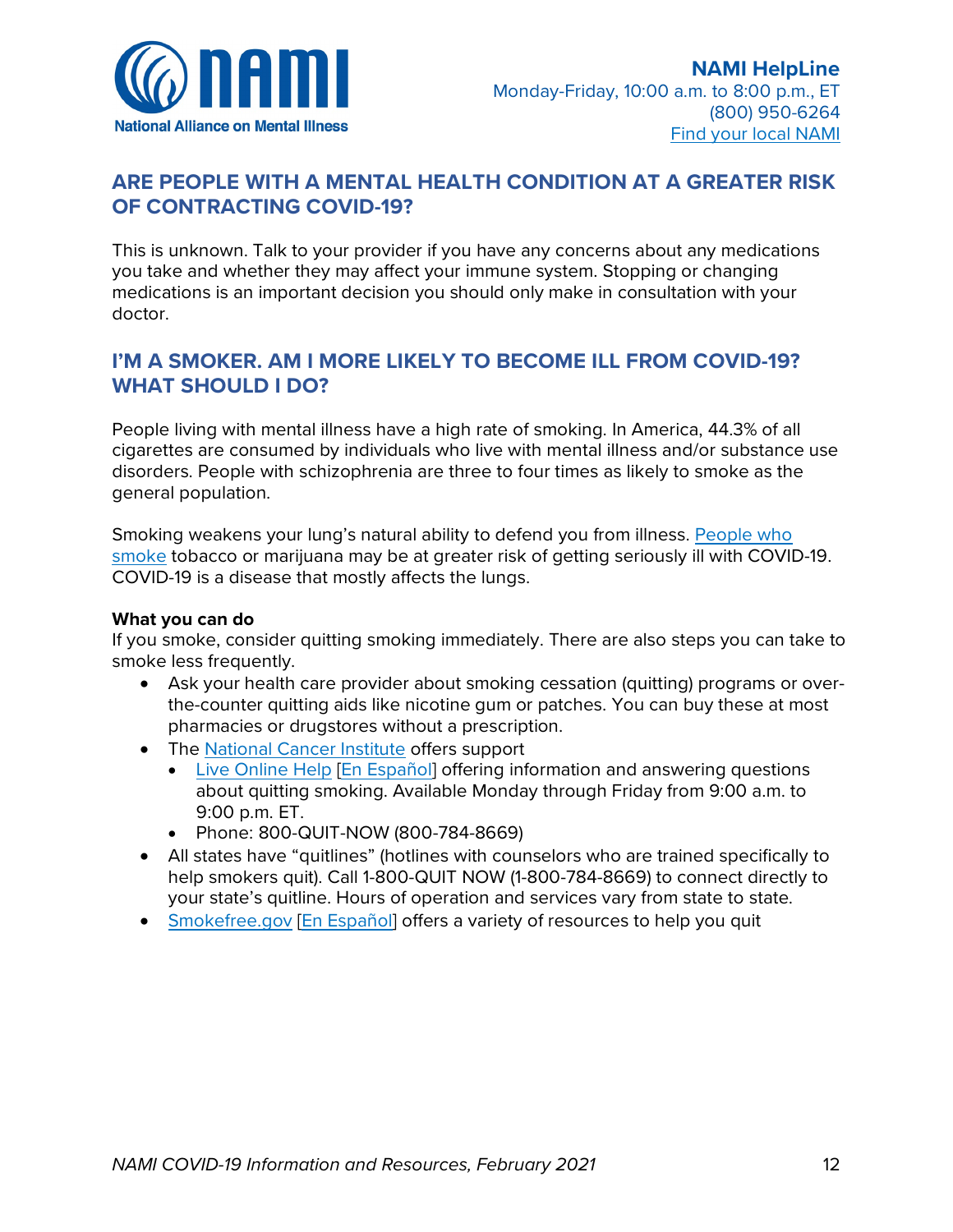

- The American Foundation for Suicide Prevention has resources and tools related to [mental health care and suicide prevention during COVID-19.](https://afsp.org/campaigns/covid-19/)
- The [National Mental Health Consumers' Self-Help Clearinghouse](http://www.mhselfhelp.org/) is a national directory of local consumer-driven mental health services. Includes crisis prevention/respite services, drop-in centers, employment resources, housing, peer case management and support. Allows you to search a [directory of local CDS](http://www.cdsdirectory.org/) [\(consumer-driven services\).](http://www.cdsdirectory.org/)
- Mental Health America's [COVID-19 information and resources](https://mhanational.org/covid19)
- [PsychHub:](https://psychhub.com/) free education video library
- [VirusAnxiety.com:](https://www.virusanxiety.com/) a collection of research-backed tools (articles, meditations, access to mental health experts, anxiety screenings, etc.) created by Shine app in partnership with [Mental Health America](https://www.mhanational.org/)
- World Health Organization recommendations:
	- o [Coping with stress](https://www.who.int/docs/default-source/coronaviruse/coping-with-stress.pdf?sfvrsn=9845bc3a_2) [\[En Español\]](https://www.who.int/docs/default-source/coronaviruse/200762-coping-with-stress-during-the-2019-sp.pdf)
	- o [Mental health and psychosocial considerations during the COVID-19 outbreak](https://www.who.int/publications-detail/mental-health-and-psychosocial-considerations-during-the-covid-19-outbreak) [\[En Español\]](https://www.paho.org/sites/default/files/2020-03/smaps-coronavirus-es-final-17-mar-20.pdf)
- The Anxiety and Depression Association of America COVID-19 [tips and resources](https://adaa.org/finding-help/coronavirus-anxiety-helpful-resources)

# **I REALLY NEED TO TALK WITH SOMEONE RIGHT NOW. WHO CAN I REACH OUT TO?**

- [Crisis Text Line:](https://www.crisistextline.org/) text "NAMI" to 741741 to chat with a trained crisis counselor o Free 24/7 text line for those in crisis (English only)
- [SAMHSA Disaster Distress Helpline](https://www.samhsa.gov/find-help/disaster-distress-helpline) [\[En Español\]](https://www.samhsa.gov/find-help/disaster-distress-helpline/espanol): call (800) 985-5990. Press 2 for Spanish-language support.
	- o Provides 24/7 crisis counseling and support to people experiencing emotional distress related to natural or human-caused disasters
- [National Suicide Prevention Lifeline:](https://suicidepreventionlifeline.org/) Call (800) 273-TALK (8255)
	- $\circ$  If you or someone you know is in crisis whether they are considering suicide or not — call the toll-free lifeline to speak with a trained crisis counselor 24/7
- [The Trevor Project Resources:](https://www.thetrevorproject.org/get-help-now/) Call (866) 488-7386, instant message a counselor on their website, or text "start" to 678678 24/7
	- o [The Trevor Project](https://www.thetrevorproject.org/) is a national organization offering support, including suicide prevention, for LGBTQ youth and their friends
	- o [Trevorspace:](https://www.trevorspace.org/?utm_source=trevor_website&utm_medium=web&utm_campaign=get_help_page) online international peer-to-peer community
	- o [Trevor Support Center:](https://www.thetrevorproject.org/resources/trevor-support-center/) educational resources and FAQs
- [Trans Lifeline:](https://www.translifeline.org/) Call (877) 565-8860 24/7
	- o Trans Lifeline is a trans-led organization that connects trans individuals to support, community and a variety of resources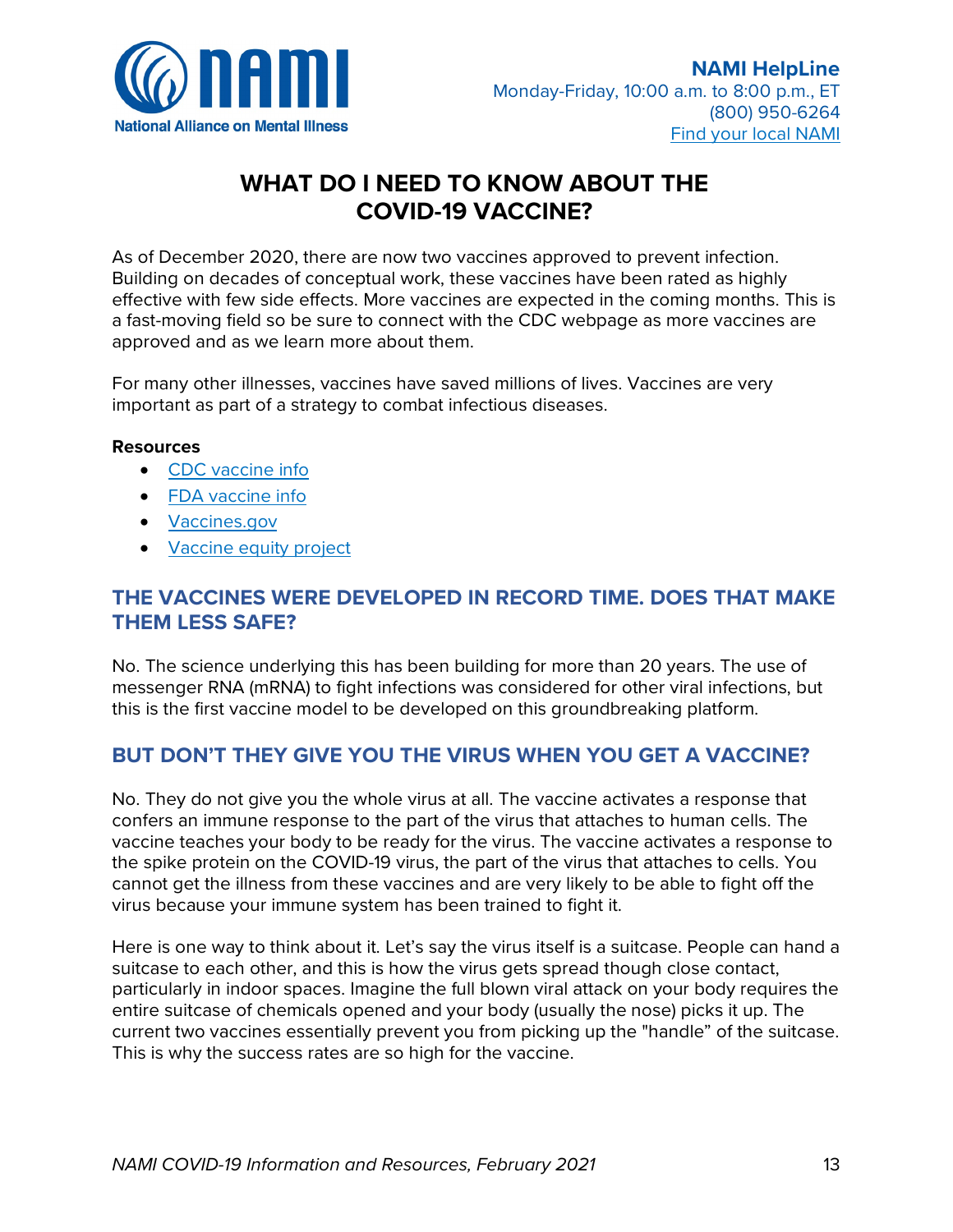

# **ARE PEOPLE WITH A MENTAL HEALTH CONDITION AT A GREATER RISK OF CONTRACTING COVID-19?**

This is unknown. Talk to your provider if you have any concerns about any medications you take and whether they may affect your immune system. Stopping or changing medications is an important decision you should only make in consultation with your doctor.

# **I'M A SMOKER. AM I MORE LIKELY TO BECOME ILL FROM COVID-19? WHAT SHOULD I DO?**

People living with mental illness have a high rate of smoking. In America, 44.3% of all cigarettes are consumed by individuals who live with mental illness and/or substance use disorders. People with schizophrenia are three to four times as likely to smoke as the general population.

Smoking weakens your lung's natural ability to defend you from illness. [People who](https://newsnetwork.mayoclinic.org/discussion/what-smokers-should-know-about-covid-19/)  [smoke](https://newsnetwork.mayoclinic.org/discussion/what-smokers-should-know-about-covid-19/) tobacco or marijuana may be at greater risk of getting seriously ill with COVID-19. COVID-19 is a disease that mostly affects the lungs.

### **What you can do**

If you smoke, consider quitting smoking immediately. There are also steps you can take to smoke less frequently.

- Ask your health care provider about smoking cessation (quitting) programs or overthe-counter quitting aids like nicotine gum or patches. You can buy these at most pharmacies or drugstores without a prescription.
- The [National Cancer Institute](http://www.cancer.gov/) offers support
	- [Live Online Help](https://livehelp.cancer.gov/app/chat/chat_launch) [\[En Español\]](https://livehelp-es.cancer.gov/app/chat/chat_launch) offering information and answering questions about quitting smoking. Available Monday through Friday from 9:00 a.m. to 9:00 p.m. ET.
	- Phone: 800-QUIT-NOW (800-784-8669)
- All states have "quitlines" (hotlines with counselors who are trained specifically to help smokers quit). Call 1-800-QUIT NOW (1-800-784-8669) to connect directly to your state's quitline. Hours of operation and services vary from state to state.
- [Smokefree.gov](https://smokefree.gov/) [\[En Español\]](https://espanol.smokefree.gov/) offers a variety of resources to help you quit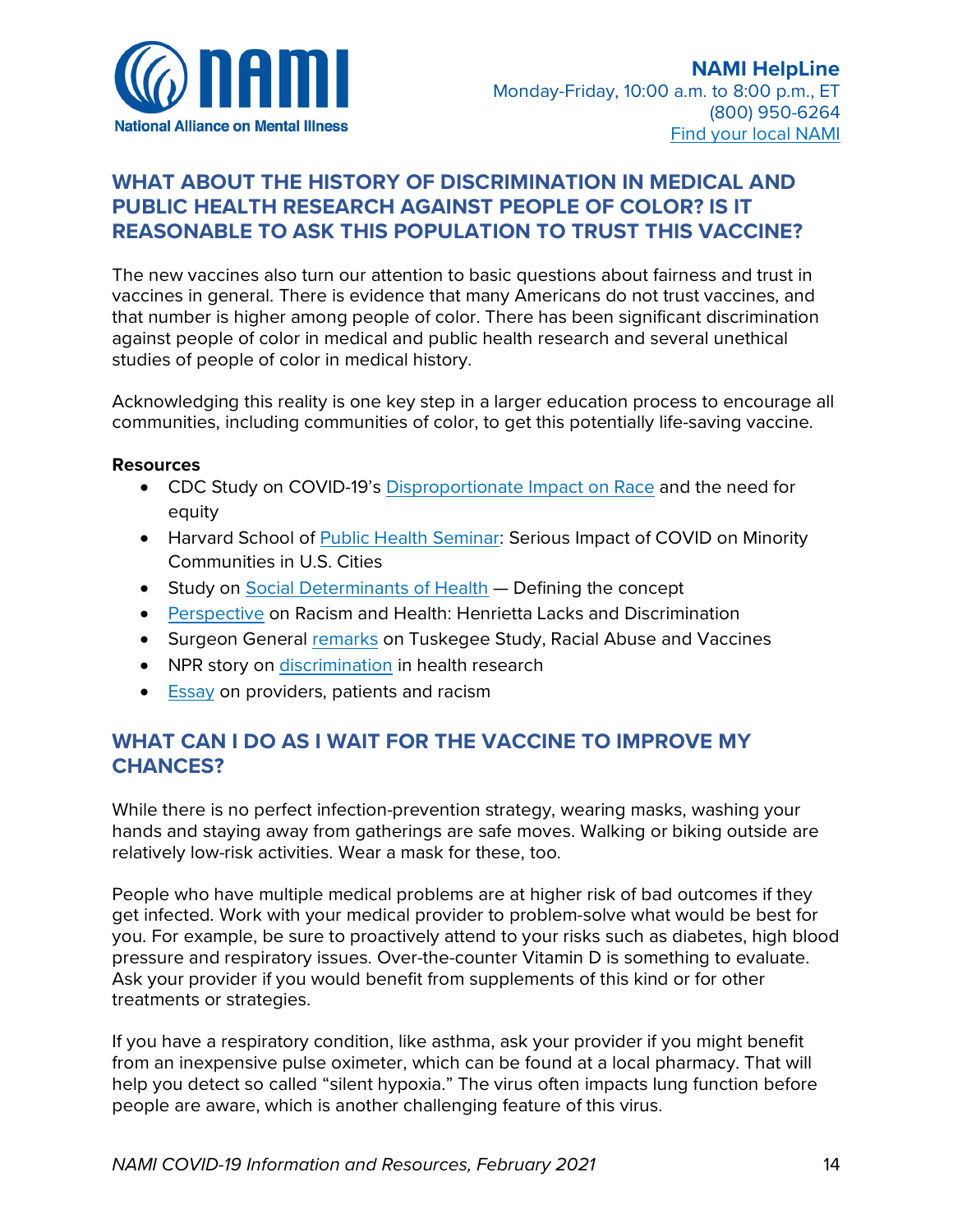

# **WHAT DO I NEED TO KNOW ABOUT THE COVID-19 VACCINE?**

As of December 2020, there are now two vaccines approved to prevent infection. Building on decades of conceptual work, these vaccines have been rated as highly effective with few side effects. More vaccines are expected in the coming months. This is a fast-moving field so be sure to connect with the CDC webpage as more vaccines are approved and as we learn more about them.

For many other illnesses, vaccines have saved millions of lives. Vaccines are very important as part of a strategy to combat infectious diseases.

#### **Resources**

- [CDC vaccine info](https://www.cdc.gov/coronavirus/2019-ncov/vaccines/index.html)
- [FDA vaccine info](https://www.fda.gov/emergency-preparedness-and-response/coronavirus-disease-2019-covid-19/covid-19-vaccines)
- [Vaccines.gov](https://www.vaccines.gov/)
- [Vaccine equity project](https://covidvaccineproject.org/about-the-project/)

## **THE VACCINES WERE DEVELOPED IN RECORD TIME. DOES THAT MAKE THEM LESS SAFE?**

No. The science underlying this has been building for more than 20 years. The use of messenger RNA (mRNA) to fight infections was considered for other viral infections, but this is the first vaccine model to be developed on this groundbreaking platform.

# **BUT DON'T THEY GIVE YOU THE VIRUS WHEN YOU GET A VACCINE?**

No. They do not give you the whole virus at all. The vaccine activates a response that confers an immune response to the part of the virus that attaches to human cells. The vaccine teaches your body to be ready for the virus. The vaccine activates a response to the spike protein on the COVID-19 virus, the part of the virus that attaches to cells. You cannot get the illness from these vaccines and are very likely to be able to fight off the virus because your immune system has been trained to fight it.

Here is one way to think about it. Let's say the virus itself is a suitcase. People can hand a suitcase to each other, and this is how the virus gets spread though close contact, particularly in indoor spaces. Imagine the full blown viral attack on your body requires the entire suitcase of chemicals opened and your body (usually the nose) picks it up. The current two vaccines essentially prevent you from picking up the "handle" of the suitcase. This is why the success rates are so high for the vaccine.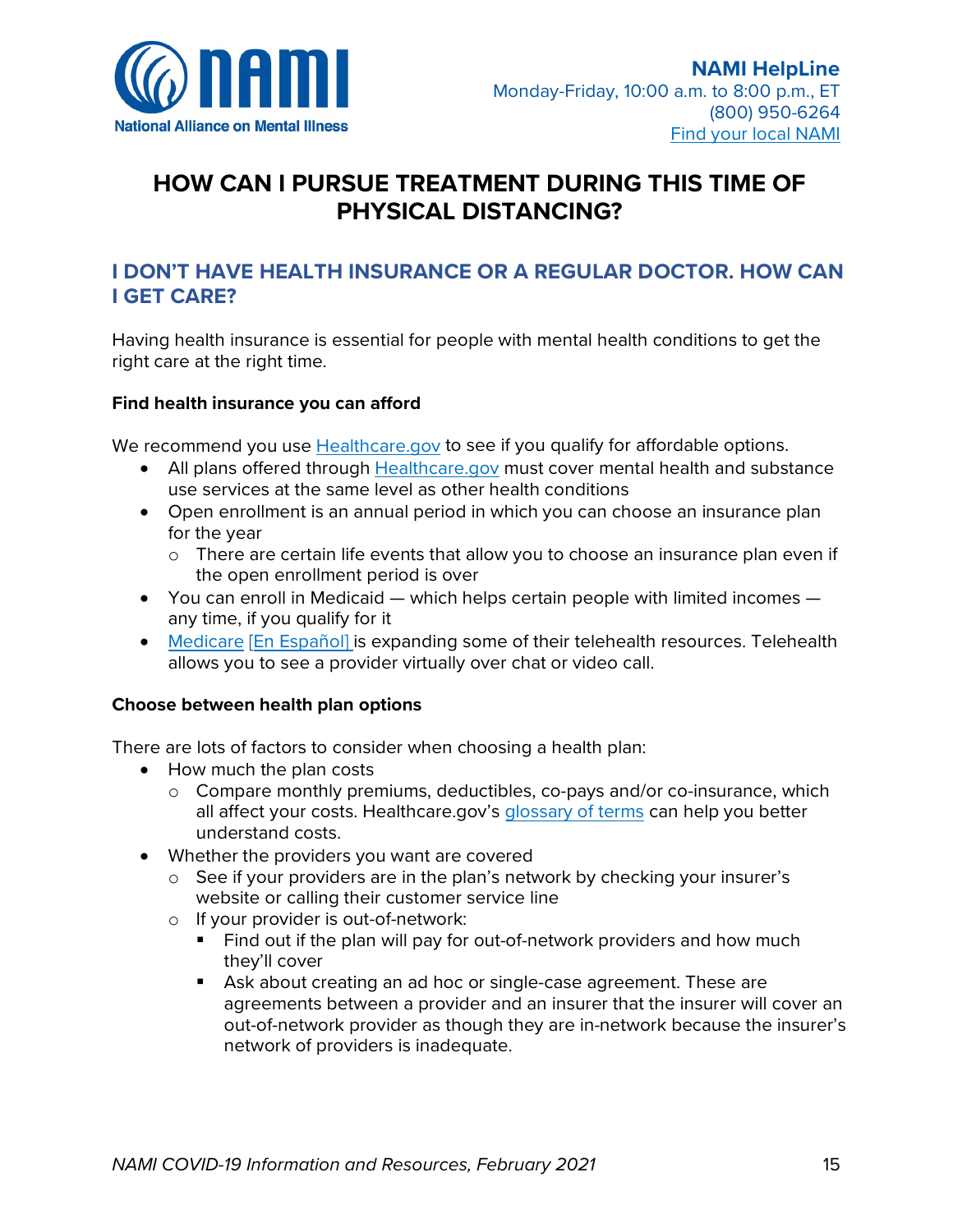

# **WHAT ABOUT THE HISTORY OF DISCRIMINATION IN MEDICAL AND PUBLIC HEALTH RESEARCH AGAINST PEOPLE OF COLOR? IS IT REASONABLE TO ASK THIS POPULATION TO TRUST THIS VACCINE?**

The new vaccines also turn our attention to basic questions about fairness and trust in vaccines in general. There is evidence that many Americans do not trust vaccines, and that number is higher among people of color. There has been significant discrimination against people of color in medical and public health research and several unethical studies of people of color in medical history.

Acknowledging this reality is one key step in a larger education process to encourage all communities, including communities of color, to get this potentially life-saving vaccine.

#### **Resources**

- CDC Study on COVID-19's [Disproportionate Impact on Race](https://www.cdc.gov/coronavirus/2019-ncov/community/health-equity/race-ethnicity.html) and the need for equity
- Harvard School of [Public Health Seminar:](https://theforum.sph.harvard.edu/events/the-coronavirus-pandemic-21/) Serious Impact of COVID on Minority Communities in U.S. Cities
- Study on [Social Determinants of Health](https://www.healthypeople.gov/2020/topics-objectives/topic/social-determinants-of-health) Defining the concept
- [Perspective](https://www.nature.com/articles/d41586-020-02494-z) on Racism and Health: Henrietta Lacks and Discrimination
- Surgeon General [remarks](https://www.military.com/daily-news/2020/10/27/surgeon-general-cites-horrific-tuskegee-experiment-voices-vaccine-distribution-concerns.html) on Tuskegee Study, Racial Abuse and Vaccines
- NPR story on *discrimination* in health research
- [Essay](https://www.health.harvard.edu/blog/racism-discrimination-health-care-providers-patients-2017011611015) on providers, patients and racism

# **WHAT CAN I DO AS I WAIT FOR THE VACCINE TO IMPROVE MY CHANCES?**

While there is no perfect infection-prevention strategy, wearing masks, washing your hands and staying away from gatherings are safe moves. Walking or biking outside are relatively low-risk activities. Wear a mask for these, too.

People who have multiple medical problems are at higher risk of bad outcomes if they get infected. Work with your medical provider to problem-solve what would be best for you. For example, be sure to proactively attend to your risks such as diabetes, high blood pressure and respiratory issues. Over-the-counter Vitamin D is something to evaluate. Ask your provider if you would benefit from supplements of this kind or for other treatments or strategies.

If you have a respiratory condition, like asthma, ask your provider if you might benefit from an inexpensive pulse oximeter, which can be found at a local pharmacy. That will help you detect so called "silent hypoxia." The virus often impacts lung function before people are aware, which is another challenging feature of this virus.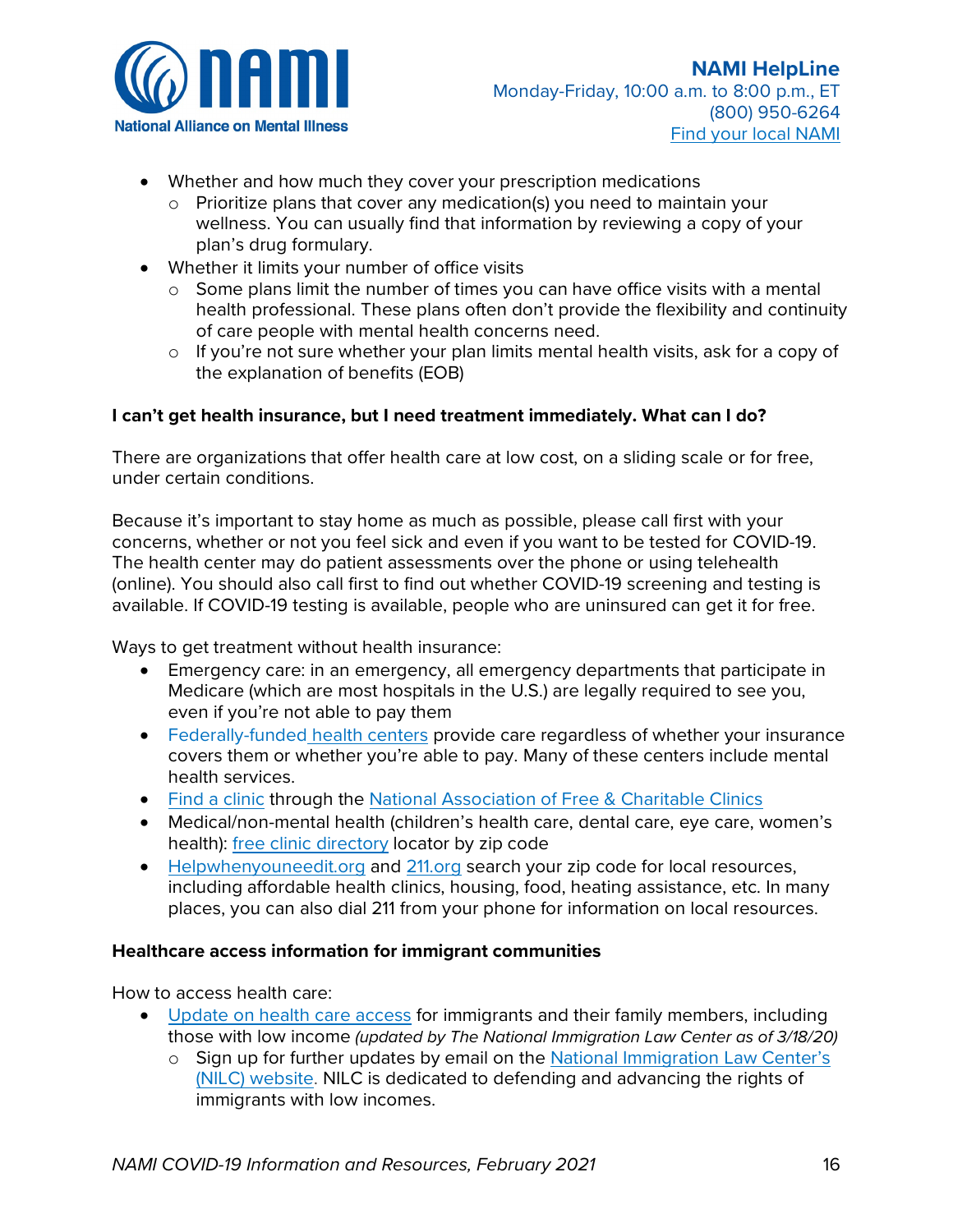

# **HOW CAN I PURSUE TREATMENT DURING THIS TIME OF PHYSICAL DISTANCING?**

# **I DON'T HAVE HEALTH INSURANCE OR A REGULAR DOCTOR. HOW CAN I GET CARE?**

Having health insurance is essential for people with mental health conditions to get the right care at the right time.

### **Find health insurance you can afford**

We recommend you use [Healthcare.gov](http://www.healthcare.gov/) to see if you qualify for affordable options.

- All plans offered through [Healthcare.gov](http://www.healthcare.gov/) must cover mental health and substance use services at the same level as other health conditions
- Open enrollment is an annual period in which you can choose an insurance plan for the year
	- o There are certain life events that allow you to choose an insurance plan even if the open enrollment period is over
- You can enroll in Medicaid  $-$  which helps certain people with limited incomes  $$ any time, if you qualify for it
- [Medicare](https://www.medicare.gov/medicare-coronavirus) [\[En Español\]](https://es.medicare.gov/medicare-coronavirus) is expanding some of their telehealth resources. Telehealth allows you to see a provider virtually over chat or video call.

### **Choose between health plan options**

There are lots of factors to consider when choosing a health plan:

- How much the plan costs
	- o Compare monthly premiums, deductibles, co-pays and/or co-insurance, which all affect your costs. Healthcare.gov's [glossary of terms](https://www.healthcare.gov/glossary/) can help you better understand costs.
- Whether the providers you want are covered
	- o See if your providers are in the plan's network by checking your insurer's website or calling their customer service line
	- o If your provider is out-of-network:
		- Find out if the plan will pay for out-of-network providers and how much they'll cover
		- Ask about creating an ad hoc or single-case agreement. These are agreements between a provider and an insurer that the insurer will cover an out-of-network provider as though they are in-network because the insurer's network of providers is inadequate.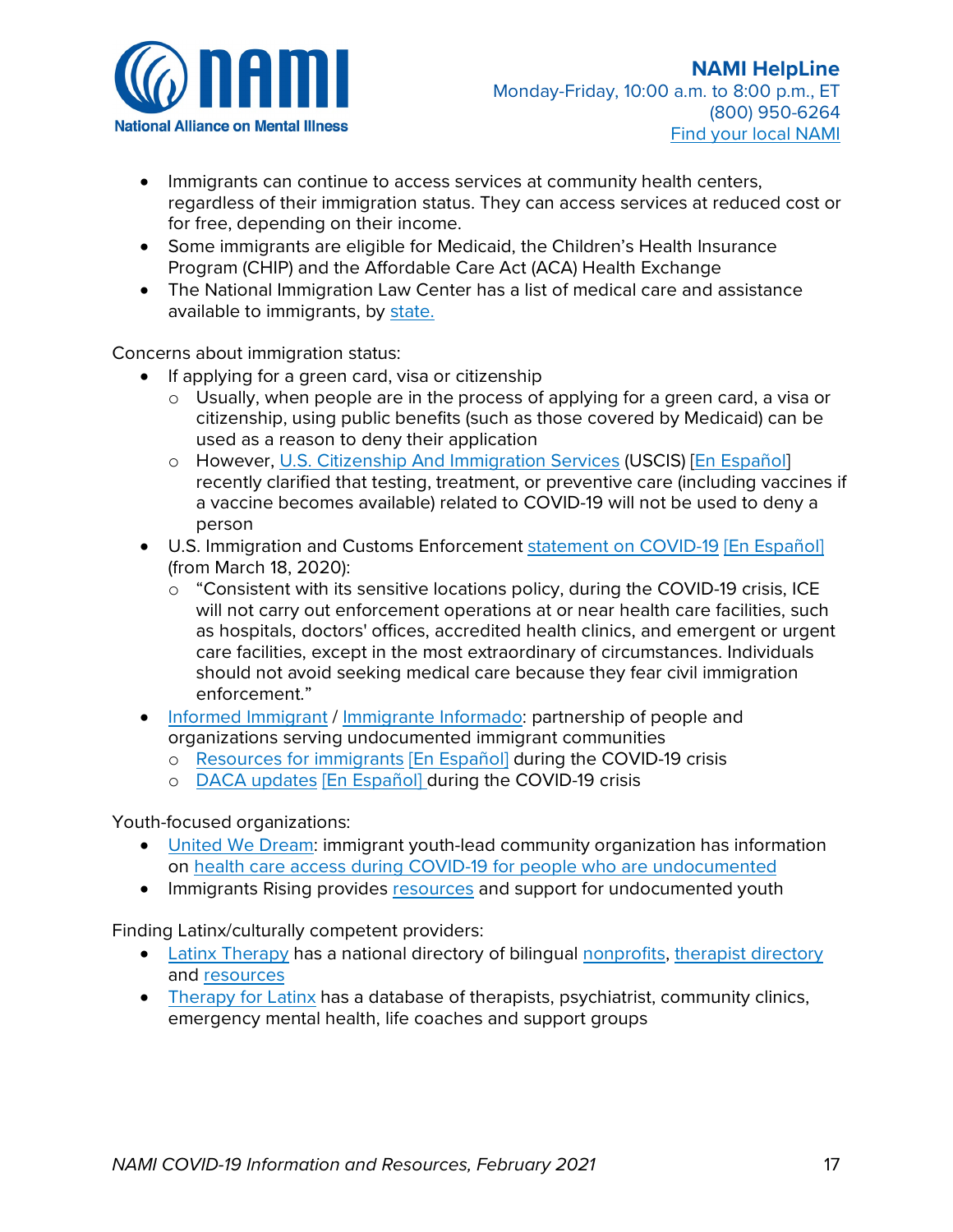

- Whether and how much they cover your prescription medications
	- $\circ$  Prioritize plans that cover any medication(s) you need to maintain your wellness. You can usually find that information by reviewing a copy of your plan's drug formulary.
- Whether it limits your number of office visits
	- $\circ$  Some plans limit the number of times you can have office visits with a mental health professional. These plans often don't provide the flexibility and continuity of care people with mental health concerns need.
	- o If you're not sure whether your plan limits mental health visits, ask for a copy of the explanation of benefits (EOB)

### **I can't get health insurance, but I need treatment immediately. What can I do?**

There are organizations that offer health care at low cost, on a sliding scale or for free, under certain conditions.

Because it's important to stay home as much as possible, please call first with your concerns, whether or not you feel sick and even if you want to be tested for COVID-19. The health center may do patient assessments over the phone or using telehealth (online). You should also call first to find out whether COVID-19 screening and testing is available. If COVID-19 testing is available, people who are uninsured can get it for free.

Ways to get treatment without health insurance:

- Emergency care: in an emergency, all emergency departments that participate in Medicare (which are most hospitals in the U.S.) are legally required to see you, even if you're not able to pay them
- [Federally-funded](https://findahealthcenter.hrsa.gov/) health centers provide care regardless of whether your insurance covers them or whether you're able to pay. Many of these centers include mental health services.
- [Find a clinic](https://www.nafcclinics.org/find-clinic) through the [National Association of Free & Charitable Clinics](https://www.nafcclinics.org/)
- Medical/non-mental health (children's health care, dental care, eye care, women's health): [free clinic directory](https://freeclinicdirectory.org/) locator by zip code
- [Helpwhenyouneedit.org](http://helpwhenyouneedit.org/) and [211.org](http://www.211.org/) search your zip code for local resources, including affordable health clinics, housing, food, heating assistance, etc. In many places, you can also dial 211 from your phone for information on local resources.

### **Healthcare access information for immigrant communities**

How to access health care:

- [Update on health care access](https://www.nilc.org/issues/health-care/update-on-access-to-health-care-for-immigrants-and-their-families/) for immigrants and their family members, including those with low income *(updated by The National Immigration Law Center as of 3/18/20)*
	- o Sign up for further updates by email on the [National Immigration Law Center's](https://www.nilc.org/)  [\(NILC\) website.](https://www.nilc.org/) NILC is dedicated to defending and advancing the rights of immigrants with low incomes.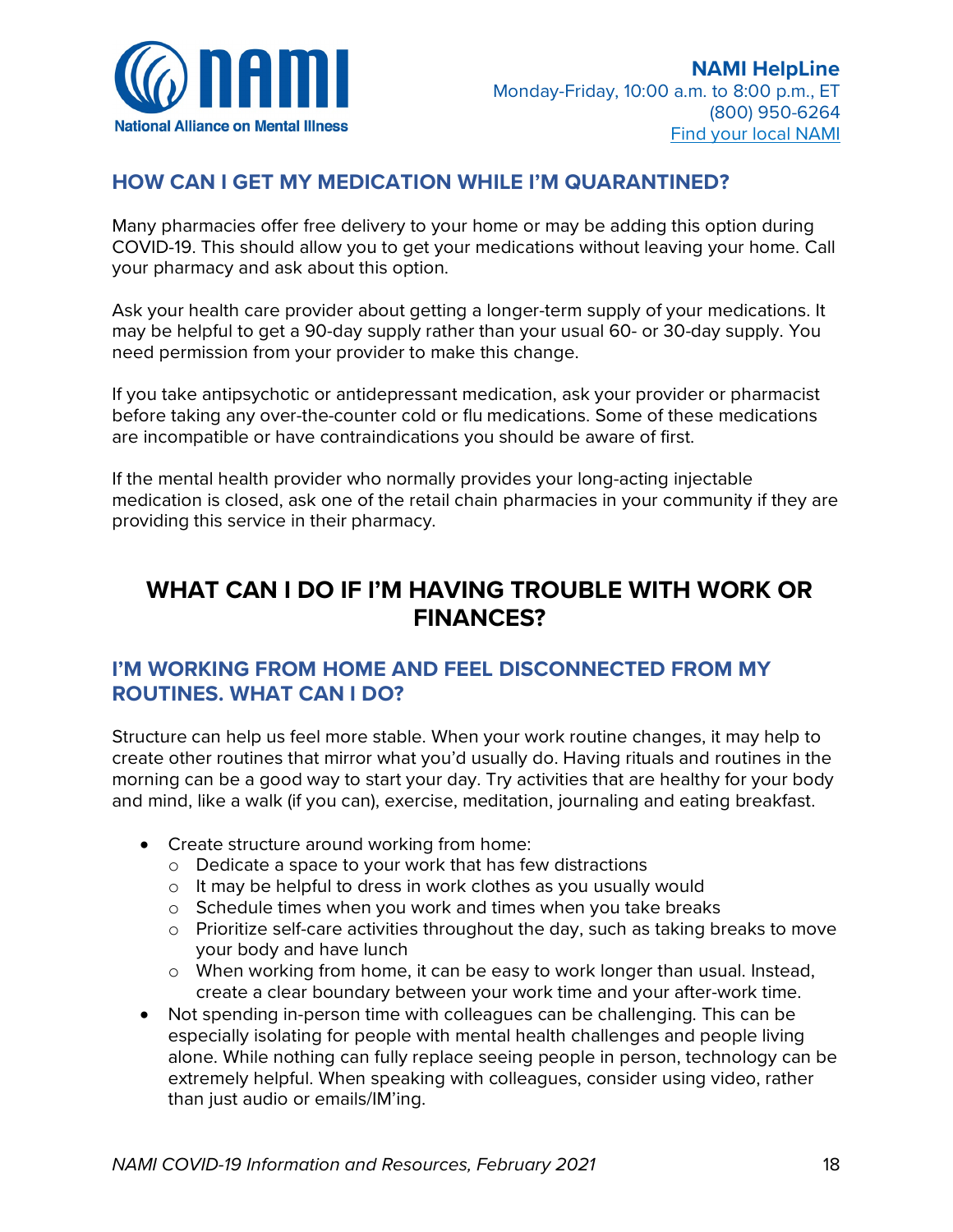

- Immigrants can continue to access services at community health centers, regardless of their immigration status. They can access services at reduced cost or for free, depending on their income.
- Some immigrants are eligible for Medicaid, the Children's Health Insurance Program (CHIP) and the Affordable Care Act (ACA) Health Exchange
- The National Immigration Law Center has a list of medical care and assistance available to immigrants, by [state.](https://www.nilc.org/issues/health-care/medical-assistance-various-states/)

Concerns about immigration status:

- If applying for a green card, visa or citizenship
	- o Usually, when people are in the process of applying for a green card, a visa or citizenship, using public benefits (such as those covered by Medicaid) can be used as a reason to deny their application
	- o However, [U.S. Citizenship And Immigration Services](https://www.uscis.gov/) (USCIS) [\[En Español\]](https://www.uscis.gov/es/tarjeta-verde/carga-publica) recently clarified that testing, treatment, or preventive care (including vaccines if a vaccine becomes available) related to COVID-19 will not be used to deny a person
- U.S. Immigration and Customs Enforcement [statement on COVID-19](https://www.ice.gov/covid19) [\[En Español\]](https://www.ice.gov/es/COVID19) (from March 18, 2020):
	- o "Consistent with its sensitive locations policy, during the COVID-19 crisis, ICE will not carry out enforcement operations at or near health care facilities, such as hospitals, doctors' offices, accredited health clinics, and emergent or urgent care facilities, except in the most extraordinary of circumstances. Individuals should not avoid seeking medical care because they fear civil immigration enforcement."
- [Informed Immigrant](https://www.informedimmigrant.com/) / [Immigrante Informado:](https://www.inmigranteinformado.com/) partnership of people and organizations serving undocumented immigrant communities
	- o [Resources for immigrants](https://www.informedimmigrant.com/guides/coronavirus/) [\[En Español\]](https://www.inmigranteinformado.com/guides/coronavirus/) during the COVID-19 crisis
	- o [DACA updates](https://www.informedimmigrant.com/guides/daca-coronavirus/) [\[En Español\]](https://www.inmigranteinformado.com/guides/daca-coronavirus/) during the COVID-19 crisis

Youth-focused organizations:

- [United We Dream:](https://unitedwedream.org/) immigrant youth-lead community organization has information on health [care access during COVID-19 for people who are undocumented](https://unitedwedream.org/2020/03/healthcare-access-for-undocumented-folks-in-the-time-of-covid19/?link_id=2&can_id=46774a14ec0fe70d3ed786ee2342871a&source=email-take-care-of-your-loved-ones&email_referrer=email_755336&email_subject=being-undocumented-in-times-of-coronavirus)
- Immigrants Rising provides [resources](https://immigrantsrising.org/resources/) and support for undocumented youth

Finding Latinx/culturally competent providers:

- [Latinx Therapy](https://latinxtherapy.com/) has a national directory of bilingual [nonprofits,](https://latinxtherapy.com/resources/nonprofits/) [therapist directory](https://latinxtherapy.com/therapist-search/) and [resources](https://latinxtherapy.com/resources)
- [Therapy for Latinx](https://www.therapyforlatinx.com/) has a database of therapists, psychiatrist, community clinics, emergency mental health, life coaches and support groups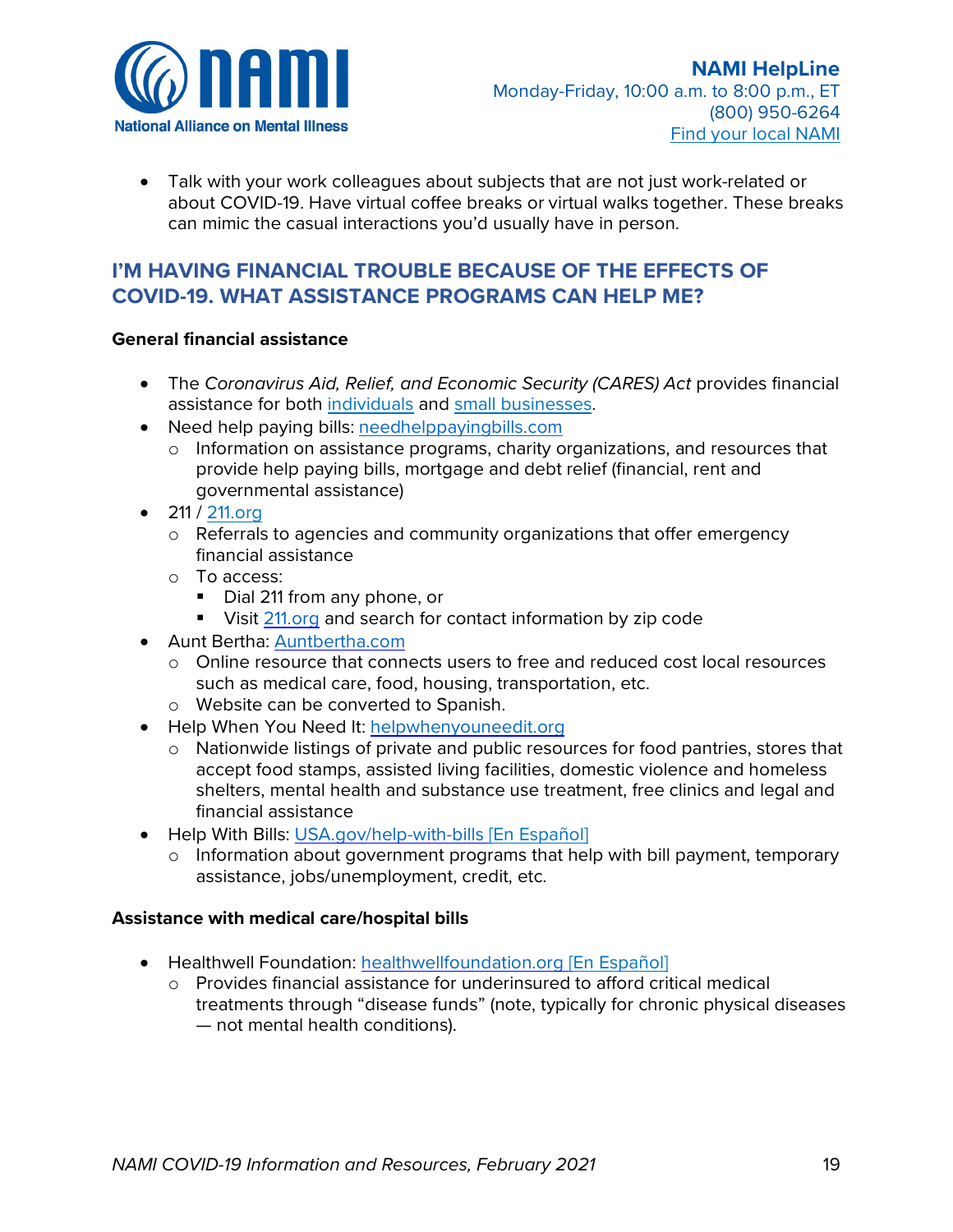

# **HOW CAN I GET MY MEDICATION WHILE I'M QUARANTINED?**

Many pharmacies offer free delivery to your home or may be adding this option during COVID-19. This should allow you to get your medications without leaving your home. Call your pharmacy and ask about this option.

Ask your health care provider about getting a longer-term supply of your medications. It may be helpful to get a 90-day supply rather than your usual 60- or 30-day supply. You need permission from your provider to make this change.

If you take antipsychotic or antidepressant medication, ask your provider or pharmacist before taking any over-the-counter cold or flu medications. Some of these medications are incompatible or have contraindications you should be aware of first.

If the mental health provider who normally provides your long-acting injectable medication is closed, ask one of the retail chain pharmacies in your community if they are providing this service in their pharmacy.

# **WHAT CAN I DO IF I'M HAVING TROUBLE WITH WORK OR FINANCES?**

# **I'M WORKING FROM HOME AND FEEL DISCONNECTED FROM MY ROUTINES. WHAT CAN I DO?**

Structure can help us feel more stable. When your work routine changes, it may help to create other routines that mirror what you'd usually do. Having rituals and routines in the morning can be a good way to start your day. Try activities that are healthy for your body and mind, like a walk (if you can), exercise, meditation, journaling and eating breakfast.

- Create structure around working from home:
	- o Dedicate a space to your work that has few distractions
	- o It may be helpful to dress in work clothes as you usually would
	- o Schedule times when you work and times when you take breaks
	- $\circ$  Prioritize self-care activities throughout the day, such as taking breaks to move your body and have lunch
	- o When working from home, it can be easy to work longer than usual. Instead, create a clear boundary between your work time and your after-work time.
- Not spending in-person time with colleagues can be challenging. This can be especially isolating for people with mental health challenges and people living alone. While nothing can fully replace seeing people in person, technology can be extremely helpful. When speaking with colleagues, consider using video, rather than just audio or emails/IM'ing.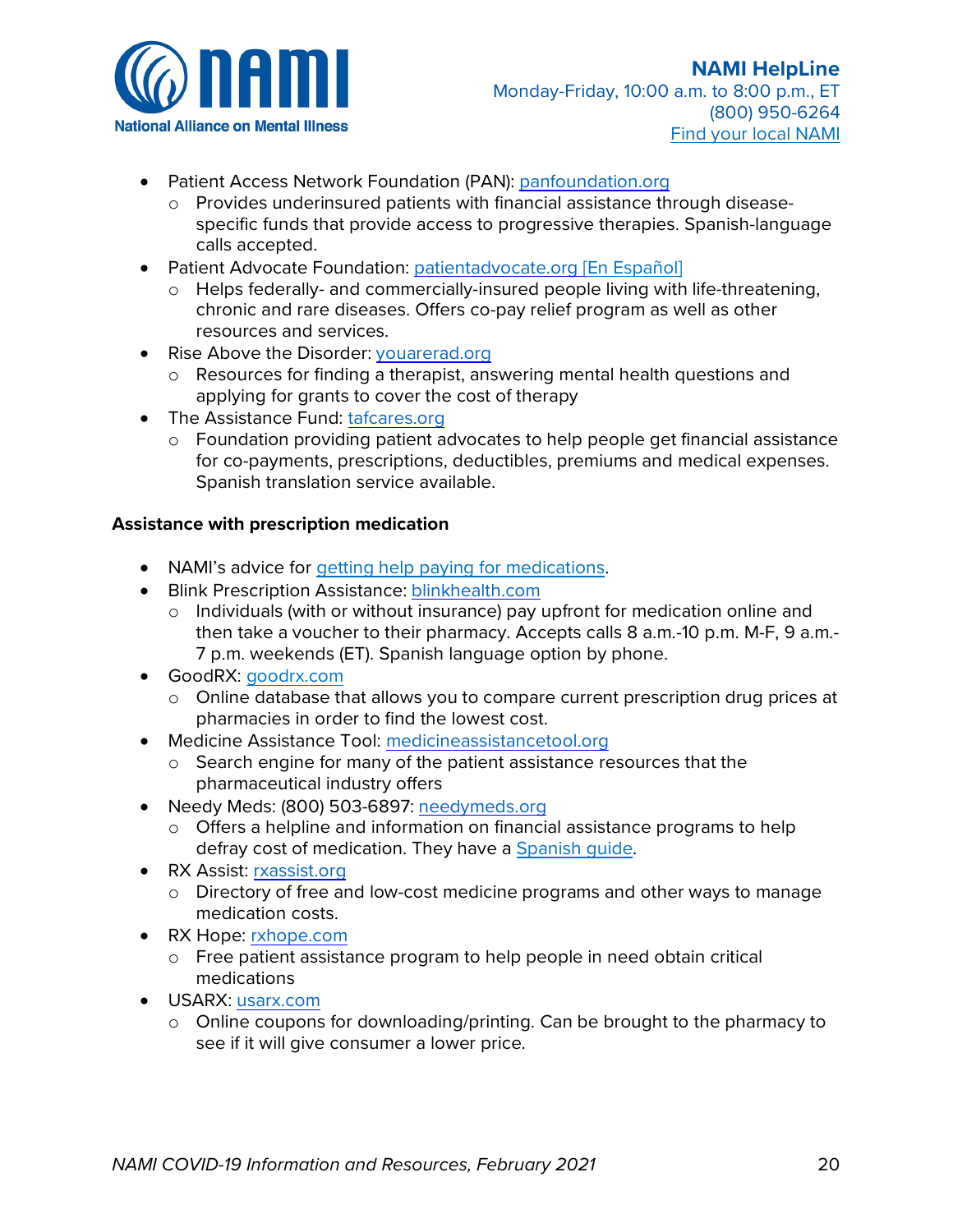

• Talk with your work colleagues about subjects that are not just work-related or about COVID-19. Have virtual coffee breaks or virtual walks together. These breaks can mimic the casual interactions you'd usually have in person.

# **I'M HAVING FINANCIAL TROUBLE BECAUSE OF THE EFFECTS OF COVID-19. WHAT ASSISTANCE PROGRAMS CAN HELP ME?**

### **General financial assistance**

- The *Coronavirus Aid, Relief, and Economic Security (CARES) Act* provides financial assistance for both [individuals](https://www.irs.gov/newsroom/economic-impact-payments-what-you-need-to-know) and [small businesses.](https://www.sba.gov/funding-programs/loans/coronavirus-relief-options)
- Need help paying bills: [needhelppayingbills.com](http://www.needhelppayingbills.com/)
	- o Information on assistance programs, charity organizations, and resources that provide help paying bills, mortgage and debt relief (financial, rent and governmental assistance)
- 211 / [211.org](http://www.211.org/)
	- $\circ$  Referrals to agencies and community organizations that offer emergency financial assistance
	- o To access:
		- Dial 211 from any phone, or
		- Visit [211.org](http://www.211.org/) and search for contact information by zip code
- Aunt Bertha: [Auntbertha.com](http://www.auntbertha.com/)
	- o Online resource that connects users to free and reduced cost local resources such as medical care, food, housing, transportation, etc.
	- o Website can be converted to Spanish.
- Help When You Need It: [helpwhenyouneedit.org](http://www.helpwhenyouneedit.org/)
	- o Nationwide listings of private and public resources for food pantries, stores that accept food stamps, assisted living facilities, domestic violence and homeless shelters, mental health and substance use treatment, free clinics and legal and financial assistance
- Help With Bills: [USA.gov/help-with-bills](http://www.usa.gov/help-with-bills) [\[En Español\]](https://www.usa.gov/espanol/pago-facturas)
	- o Information about government programs that help with bill payment, temporary assistance, jobs/unemployment, credit, etc.

### **Assistance with medical care/hospital bills**

- Healthwell Foundation: [healthwellfoundation.org](http://www.healthwellfoundation.org/) [\[En Español\]](https://www.healthwellfoundation.org/en-espanol/)
	- o Provides financial assistance for underinsured to afford critical medical treatments through "disease funds" (note, typically for chronic physical diseases — not mental health conditions).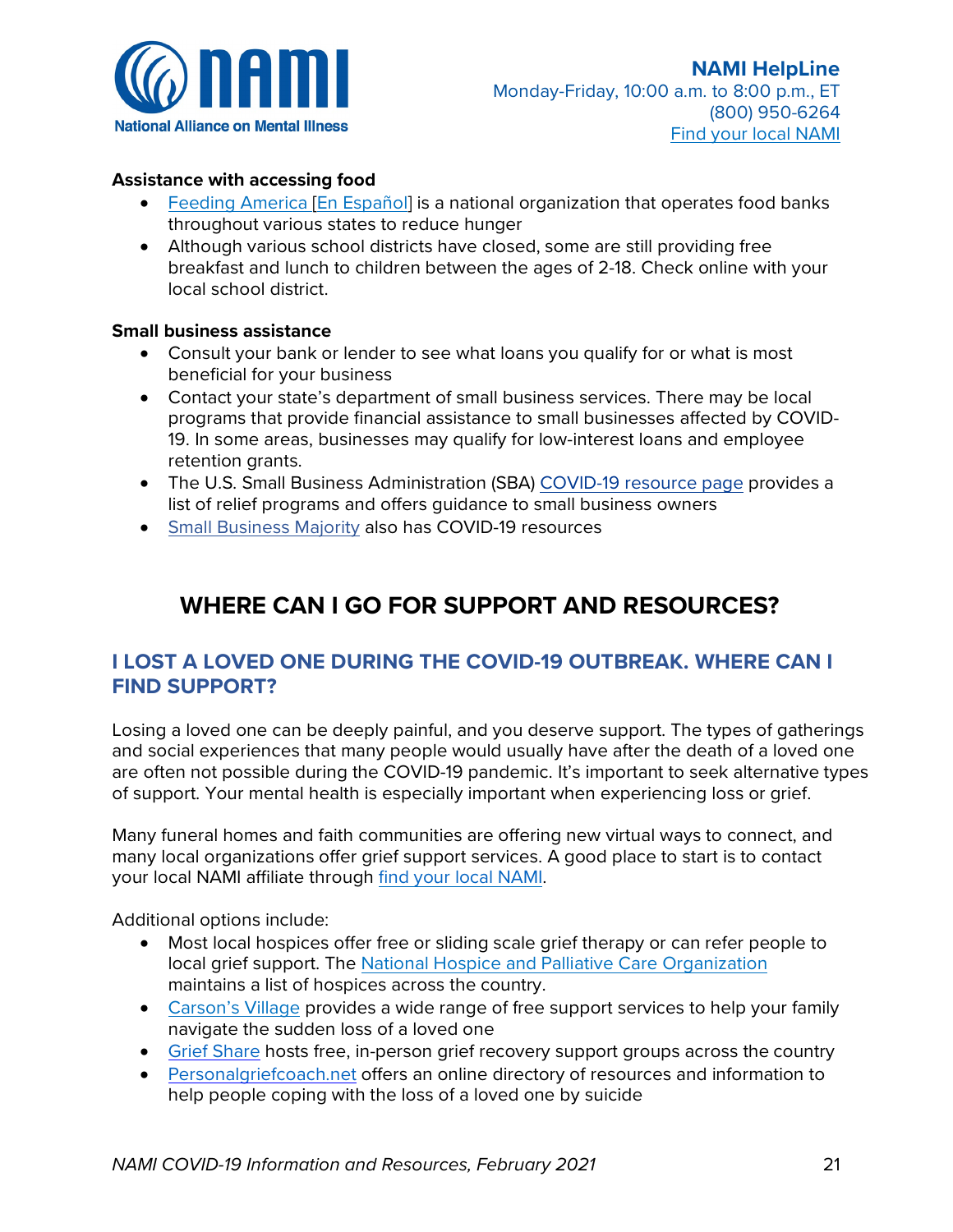

- Patient Access Network Foundation (PAN): [panfoundation.org](http://www.panfoundation.org/)
	- o Provides underinsured patients with financial assistance through diseasespecific funds that provide access to progressive therapies. Spanish-language calls accepted.
- Patient Advocate Foundation: [patientadvocate.org](http://www.patientadvocate.org/) [\[En Español\]](https://www.patientadvocate.org/es/)
	- o Helps federally- and commercially-insured people living with life-threatening, chronic and rare diseases. Offers co-pay relief program as well as other resources and services.
- Rise Above the Disorder: [youarerad.org](http://www.youarerad.org/)
	- o Resources for finding a therapist, answering mental health questions and applying for grants to cover the cost of therapy
- The Assistance Fund: [tafcares.org](http://www.tafcares.org/)
	- o Foundation providing patient advocates to help people get financial assistance for co-payments, prescriptions, deductibles, premiums and medical expenses. Spanish translation service available.

### **Assistance with prescription medication**

- NAMI's advice for [getting help paying for medications.](https://www.nami.org/Your-Journey/Living-with-a-Mental-Health-Condition/Getting-Help-Paying-for-Medications)
- Blink Prescription Assistance: [blinkhealth.com](https://www.blinkhealth.com/)
	- o Individuals (with or without insurance) pay upfront for medication online and then take a voucher to their pharmacy. Accepts calls 8 a.m.-10 p.m. M-F, 9 a.m.- 7 p.m. weekends (ET). Spanish language option by phone.
- GoodRX: [goodrx.com](https://www.goodrx.com/)
	- $\circ$  Online database that allows you to compare current prescription drug prices at pharmacies in order to find the lowest cost.
- Medicine Assistance Tool: [medicineassistancetool.org](http://www.medicineassistancetool.org/)
	- o Search engine for many of the patient assistance resources that the pharmaceutical industry offers
- Needy Meds: (800) 503-6897: [needymeds.org](http://www.needymeds.org/)
	- o Offers a helpline and information on financial assistance programs to help defray cost of medication. They have a Spanish quide.
- RX Assist: [rxassist.org](http://www.rxassist.org/)
	- o Directory of free and low-cost medicine programs and other ways to manage medication costs.
- RX Hope: [rxhope.com](https://www.rxhope.com/)
	- o Free patient assistance program to help people in need obtain critical medications
- USARX: [usarx.com](https://www.usarx.com/)
	- $\circ$  Online coupons for downloading/printing. Can be brought to the pharmacy to see if it will give consumer a lower price.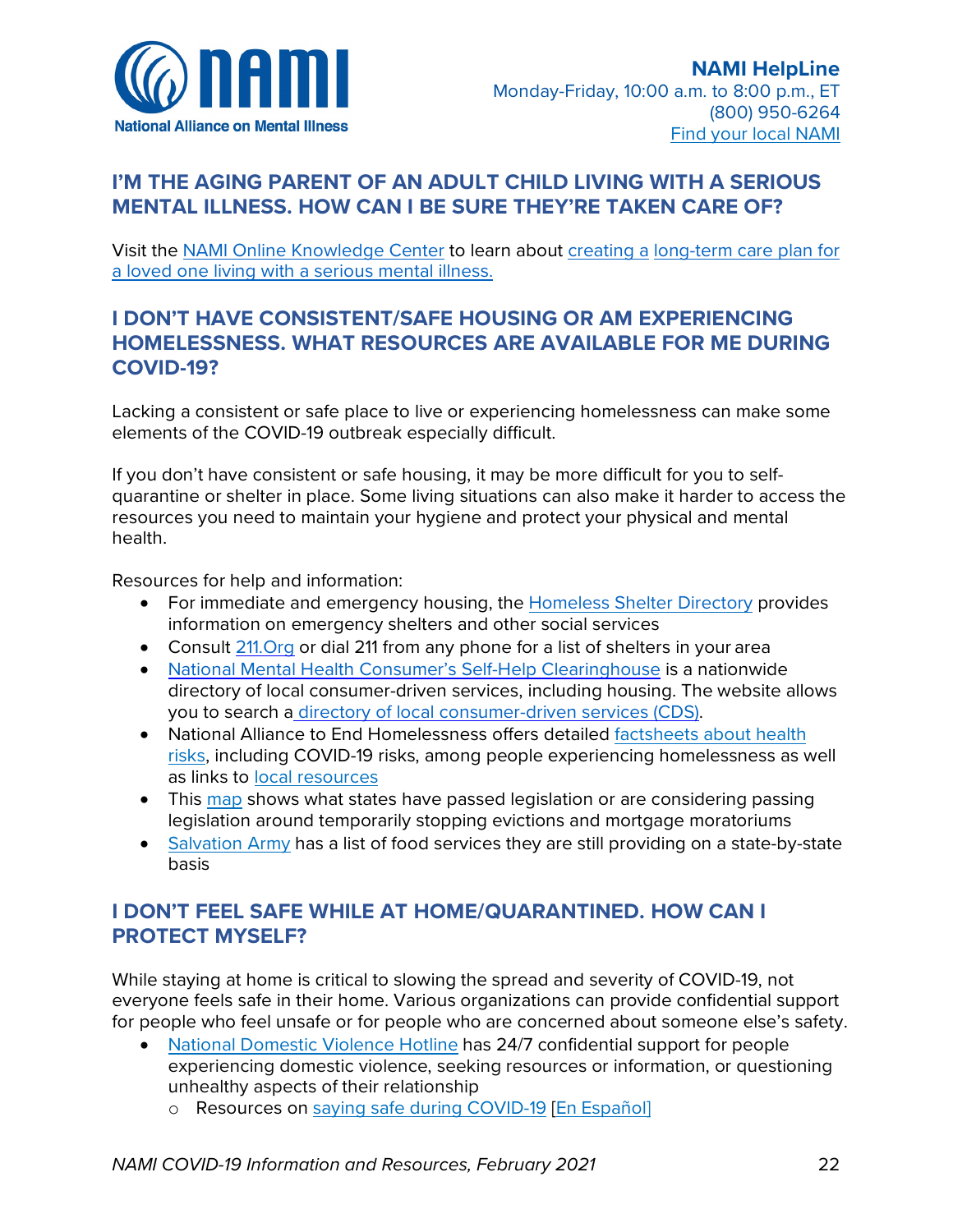

### **Assistance with accessing food**

- [Feeding America](https://www.feedingamerica.org/find-your-local-foodbank) [\[En Español\]](https://www.feedingamerica.org/en-espanol/encuentre-su-banco-de-alimentos-local) is a national organization that operates food banks throughout various states to reduce hunger
- Although various school districts have closed, some are still providing free breakfast and lunch to children between the ages of 2-18. Check online with your local school district.

### **Small business assistance**

- Consult your bank or lender to see what loans you qualify for or what is most beneficial for your business
- Contact your state's department of small business services. There may be local programs that provide financial assistance to small businesses affected by COVID-19. In some areas, businesses may qualify for low-interest loans and employee retention grants.
- The U.S. Small Business Administration (SBA) [COVID-19 resource page](https://www.sba.gov/page/coronavirus-covid-19-small-business-guidance-loan-resources) provides a list of relief programs and offers guidance to small business owners
- [Small Business Majority](https://smallbusinessmajority.org/covid-19-daily-updates-for-small-businesses) also has COVID-19 resources

# **WHERE CAN I GO FOR SUPPORT AND RESOURCES?**

# **I LOST A LOVED ONE DURING THE COVID-19 OUTBREAK. WHERE CAN I FIND SUPPORT?**

Losing a loved one can be deeply painful, and you deserve support. The types of gatherings and social experiences that many people would usually have after the death of a loved one are often not possible during the COVID-19 pandemic. It's important to seek alternative types of support. Your mental health is especially important when experiencing loss or grief.

Many funeral homes and faith communities are offering new virtual ways to connect, and many local organizations offer grief support services. A good place to start is to contact your local NAMI affiliate through [find your local N](https://www.nami.org/Find-Your-Local-NAMI)AMI.

Additional options include:

- Most local hospices offer free or sliding scale grief therapy or can refer people to local grief support. The [National Hospice and Palliative Care Organization](https://www.nhpco.org/find-a-care-provider/) maintains a list of hospices across the country.
- [Carson's Village](https://carsonsvillage.org/) provides a wide range of free support services to help your family navigate the sudden loss of a loved one
- [Grief Share](https://www.griefshare.org/findagroup) hosts free, in-person grief recovery support groups across the country
- [Personalgriefcoach.net](http://www.personalgriefcoach.net/) offers an online directory of resources and information to help people coping with the loss of a loved one by suicide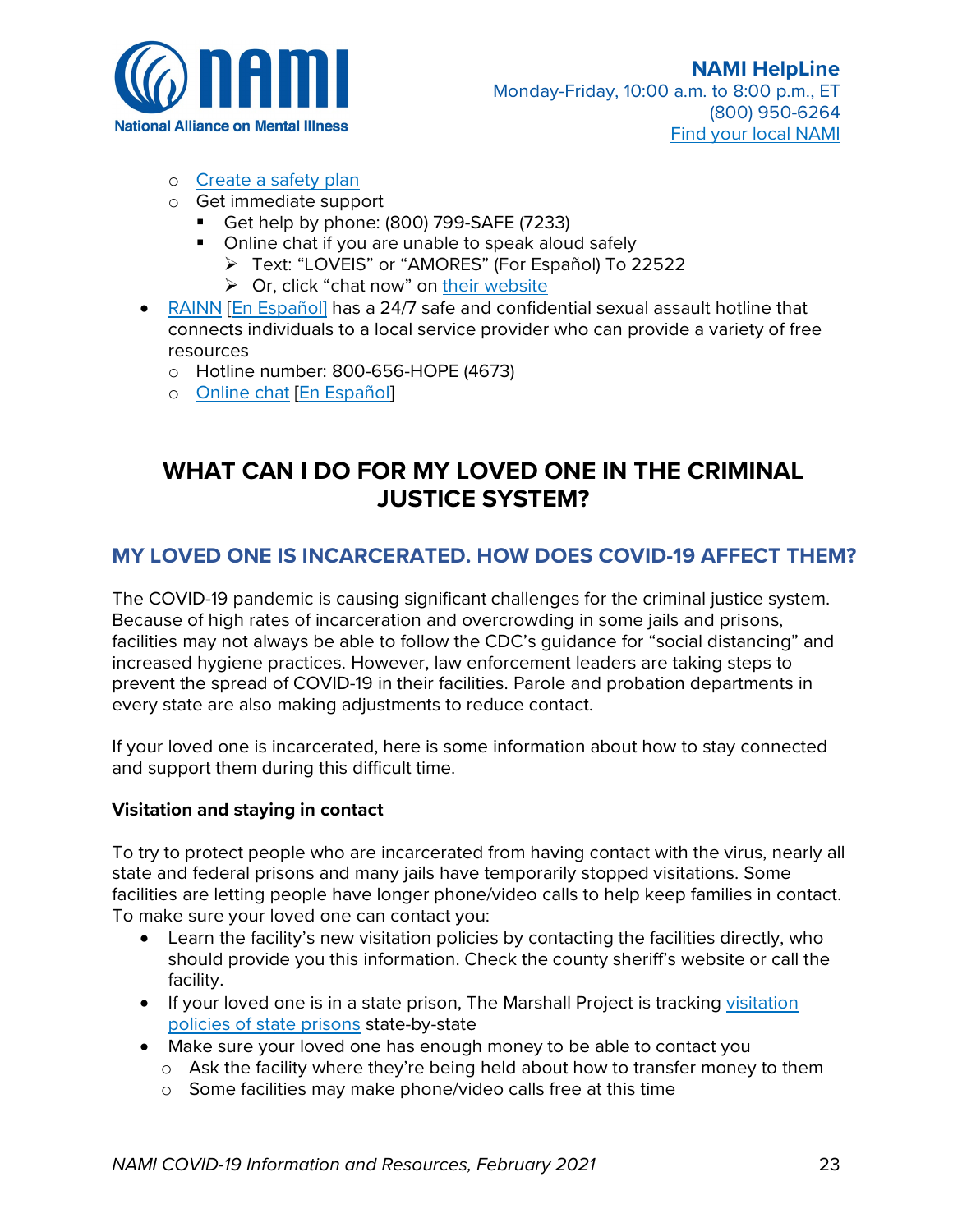

# **I'M THE AGING PARENT OF AN ADULT CHILD LIVING WITH A SERIOUS MENTAL ILLNESS. HOW CAN I BE SURE THEY'RE TAKEN CARE OF?**

Visit the NAMI [Online Knowledge Center](https://nami.zendesk.com/hc/en-us/categories/360001837134-HelpLine) to learn about [creating a](https://nami.zendesk.com/hc/en-us/articles/360024611914-How-do-I-create-a-long-term-care-plan-for-my-loved-one-who-is-living-with-a-serious-mental-illness-) [long-term care plan for](https://nami.zendesk.com/hc/en-us/articles/360024611914-How-do-I-create-a-long-term-care-plan-for-my-loved-one-who-is-living-with-a-serious-mental-illness-)  [a loved one living with a serious mental illness.](https://nami.zendesk.com/hc/en-us/articles/360024611914-How-do-I-create-a-long-term-care-plan-for-my-loved-one-who-is-living-with-a-serious-mental-illness-)

# **I DON'T HAVE CONSISTENT/SAFE HOUSING OR AM EXPERIENCING HOMELESSNESS. WHAT RESOURCES ARE AVAILABLE FOR ME DURING COVID-19?**

Lacking a consistent or safe place to live or experiencing homelessness can make some elements of the COVID-19 outbreak especially difficult.

If you don't have consistent or safe housing, it may be more difficult for you to selfquarantine or shelter in place. Some living situations can also make it harder to access the resources you need to maintain your hygiene and protect your physical and mental health.

Resources for help and information:

- For immediate and emergency housing, the [Homeless Shelter Directory](http://www.homelessshelterdirectory.org/) provides information on emergency shelters and other social services
- Consult 211. Org or dial 211 from any phone for a list of shelters in your area
- [National Mental Health Consumer's Self-Help Clearinghouse](http://www.mhselfhelp.org/) is a nationwide directory of local consumer-driven services, including housing. The website allows you to search a [directory of local consumer-driven services \(CDS\).](http://www.cdsdirectory.org/)
- National Alliance to End Homelessness offers detailed factsheets about health [risks,](https://endhomelessness.org/wp-content/uploads/2020/03/Covid-Fact-Sheet-3.25.2020-2.pdf) including COVID-19 risks, among people experiencing homelessness as well as links to [local resources](https://endhomelessness.org/coronavirus-and-homelessness/)
- This [map](https://www.antievictionmap.com/covid) shows what states have passed legislation or are considering passing legislation around temporarily stopping evictions and mortgage moratoriums
- [Salvation Army](https://www.salvationarmyusa.org/usn/covid19/) has a list of food services they are still providing on a state-by-state basis

# **I DON'T FEEL SAFE WHILE AT HOME/QUARANTINED. HOW CAN I PROTECT MYSELF?**

While staying at home is critical to slowing the spread and severity of COVID-19, not everyone feels safe in their home. Various organizations can provide confidential support for people who feel unsafe or for people who are concerned about someone else's safety.

- [National Domestic Violence Hotline](https://www.thehotline.org/) has 24/7 confidential support for people experiencing domestic violence, seeking resources or information, or questioning unhealthy aspects of their relationship
	- o Resources on [saying safe during COVID-19](https://www.thehotline.org/2020/03/13/staying-safe-during-covid-19/) [\[En Español\]](https://espanol.thehotline.org/2020/03/18/mantenerse-segurx-durante-covid-19/)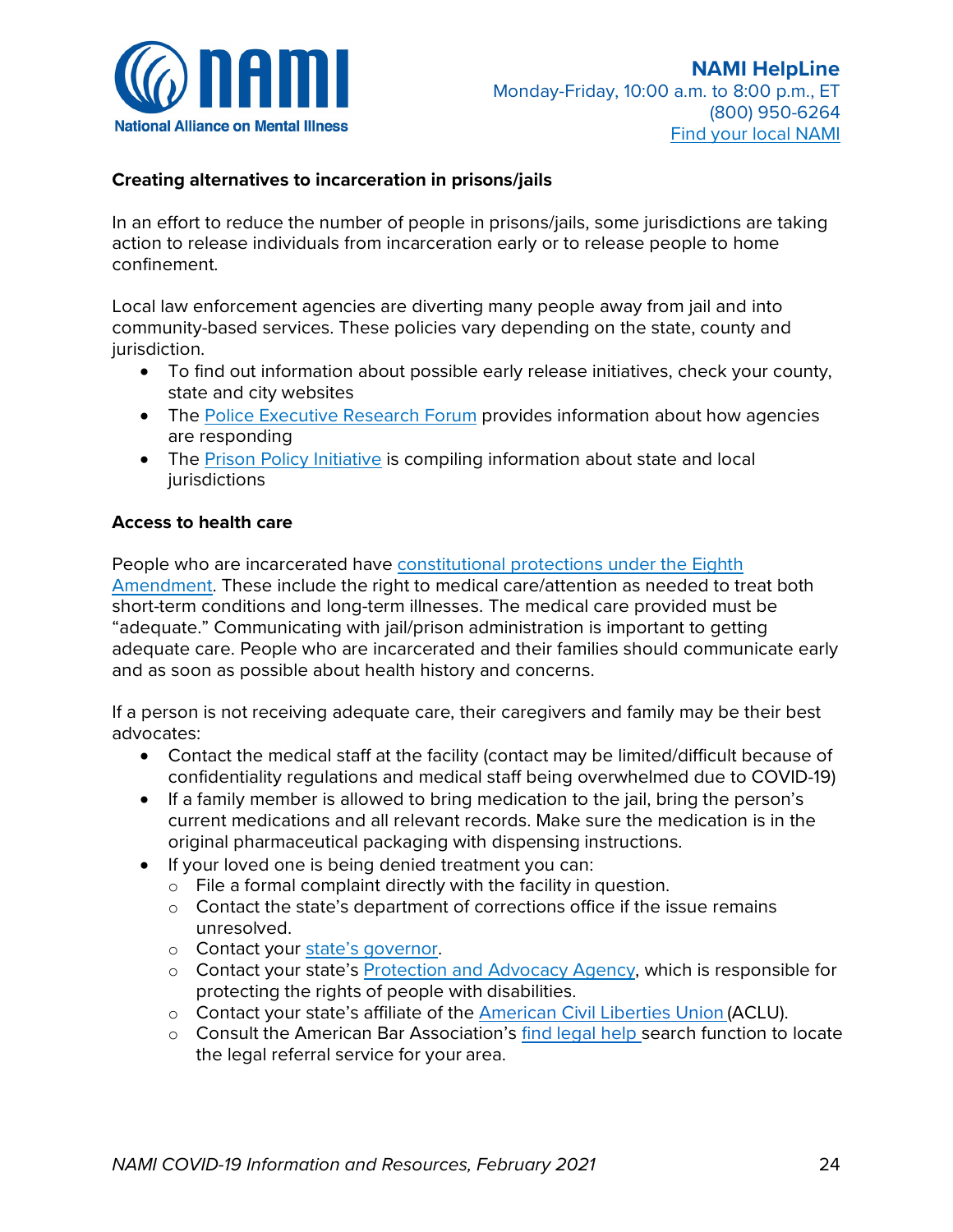

- o [Create a safety plan](https://www.thehotline.org/help/path-to-safety/)
- o Get immediate support
	- Get help by phone: (800) 799-SAFE (7233)
	- Online chat if you are unable to speak aloud safely
		- Text: "LOVEIS" or "AMORES" (For Español) To 22522
		- $\triangleright$  Or, click "chat now" on [their website](https://www.thehotline.org/)
- [RAINN](https://www.rainn.org/) [\[En Español\]](https://www.rainn.org/es) has a 24/7 safe and confidential sexual assault hotline that connects individuals to a local service provider who can provide a variety of free resources
	- o Hotline number: 800-656-HOPE (4673)
	- o [Online](https://hotline.rainn.org/online?_ga=2.1522738.2004708521.1585230536-1703308504.1585230536) chat [\[En Español\]](https://hotline.rainn.org/es)

# **WHAT CAN I DO FOR MY LOVED ONE IN THE CRIMINAL JUSTICE SYSTEM?**

# **MY LOVED ONE IS INCARCERATED. HOW DOES COVID-19 AFFECT THEM?**

The COVID-19 pandemic is causing significant challenges for the criminal justice system. Because of high rates of incarceration and overcrowding in some jails and prisons, facilities may not always be able to follow the CDC's guidance for "social distancing" and increased hygiene practices. However, law enforcement leaders are taking steps to prevent the spread of COVID-19 in their facilities. Parole and probation departments in every state are also making adjustments to reduce contact.

If your loved one is incarcerated, here is some information about how to stay connected and support them during this difficult time.

### **Visitation and staying in contact**

To try to protect people who are incarcerated from having contact with the virus, nearly all state and federal prisons and many jails have temporarily stopped visitations. Some facilities are letting people have longer phone/video calls to help keep families in contact. To make sure your loved one can contact you:

- Learn the facility's new visitation policies by contacting the facilities directly, who should provide you this information. Check the county sheriff's website or call the facility.
- If your loved one is in a state prison, The Marshall Project is tracking [visitation](https://www.themarshallproject.org/2020/03/17/tracking-prisons-response-to-coronavirus)  [policies of state prisons](https://www.themarshallproject.org/2020/03/17/tracking-prisons-response-to-coronavirus) state-by-state
- Make sure your loved one has enough money to be able to contact you
	- o Ask the facility where they're being held about how to transfer money to them
	- o Some facilities may make phone/video calls free at this time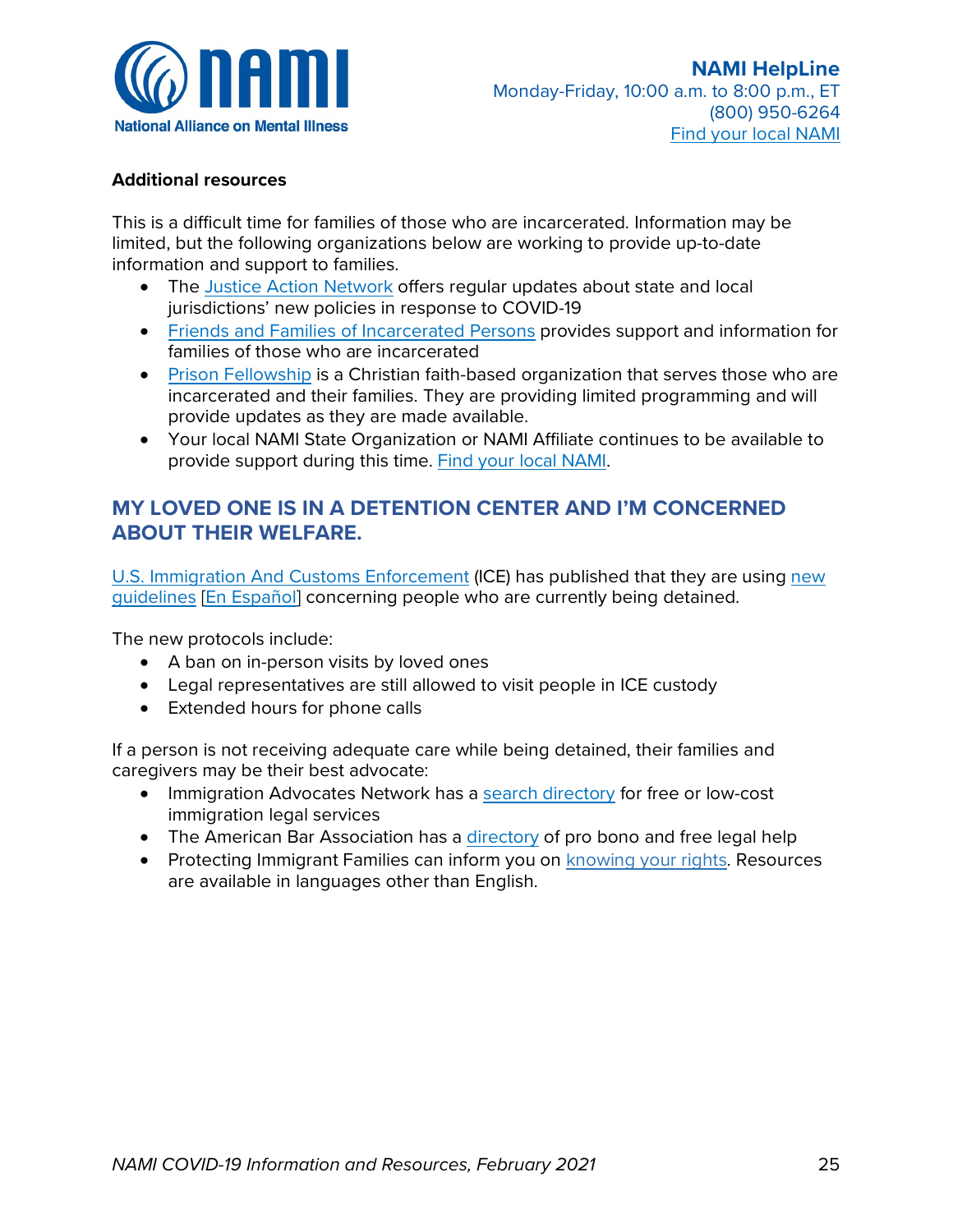

### **Creating alternatives to incarceration in prisons/jails**

In an effort to reduce the number of people in prisons/jails, some jurisdictions are taking action to release individuals from incarceration early or to release people to home confinement.

Local law enforcement agencies are diverting many people away from jail and into community-based services. These policies vary depending on the state, county and jurisdiction.

- To find out information about possible early release initiatives, check your county, state and city websites
- The [Police Executive Research Forum](https://www.policeforum.org/coronavirus) provides information about how agencies are responding
- The [Prison Policy Initiative](https://www.prisonpolicy.org/virus/virusresponse.html) is compiling information about state and local jurisdictions

### **Access to health care**

People who are incarcerated have constitutional protections under the Eighth [Amendment.](https://www.aclu.org/sites/default/files/images/asset_upload_file690_25743.pdf) These include the right to medical care/attention as needed to treat both short-term conditions and long-term illnesses. The medical care provided must be "adequate." Communicating with jail/prison administration is important to getting adequate care. People who are incarcerated and their families should communicate early and as soon as possible about health history and concerns.

If a person is not receiving adequate care, their caregivers and family may be their best advocates:

- Contact the medical staff at the facility (contact may be limited/difficult because of confidentiality regulations and medical staff being overwhelmed due to COVID-19)
- If a family member is allowed to bring medication to the jail, bring the person's current medications and all relevant records. Make sure the medication is in the original pharmaceutical packaging with dispensing instructions.
- If your loved one is being denied treatment you can:
	- o File a formal complaint directly with the facility in question.
	- o Contact the state's department of corrections office if the issue remains unresolved.
	- o Contact your [state's governor.](https://www.nga.org/governors/)
	- o Contact your state's [Protection and Advocacy Agency,](http://www.ndrn.org/en/ndrn-member-agencies.html) which is responsible for protecting the rights of people with disabilities.
	- o Contact your state's affiliate of the [American Civil Liberties Union](http://www.aclu.org/affiliates) (ACLU).
	- o Consult the American Bar Association's [find legal help s](https://www.americanbar.org/groups/legal_services/flh-home/)earch function to locate the legal referral service for your area.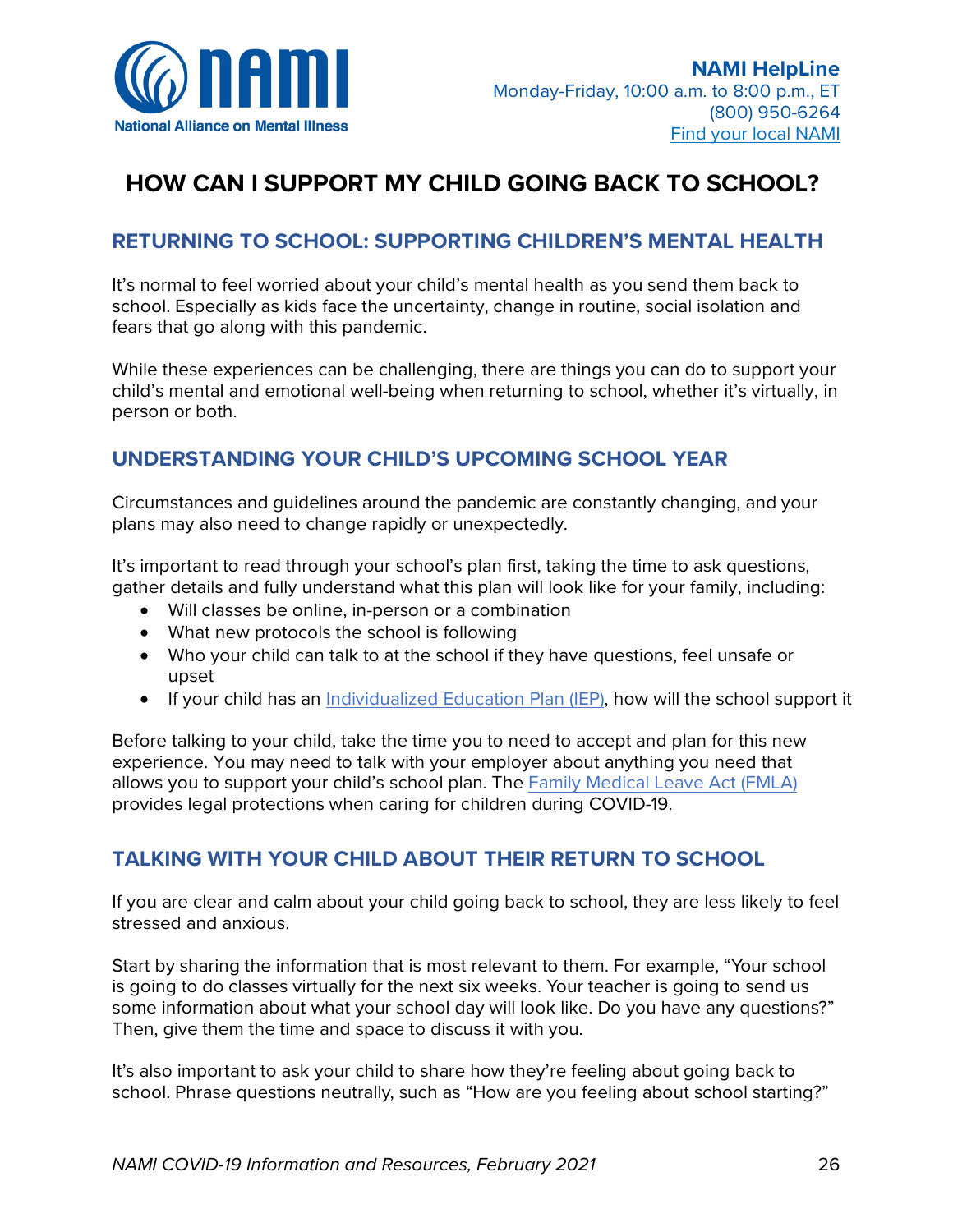

### **Additional resources**

This is a difficult time for families of those who are incarcerated. Information may be limited, but the following organizations below are working to provide up-to-date information and support to families.

- The [Justice Action Network](https://www.justiceactionnetwork.org/covid19) offers regular updates about state and local jurisdictions' new policies in response to COVID-19
- [Friends and Families of Incarcerated Persons](https://theffip.org/) provides support and information for families of those who are incarcerated
- [Prison Fellowship](https://www.prisonfellowship.org/2020/03/weekly-update-on-prison-fellowship-and-covid-19/) is a Christian faith-based organization that serves those who are incarcerated and their families. They are providing limited programming and will provide updates as they are made available.
- Your local NAMI State Organization or NAMI Affiliate continues to be available to provide support during this time. [Find your local NAMI.](https://www.nami.org/find-your-local-nami)

### **MY LOVED ONE IS IN A DETENTION CENTER AND I'M CONCERNED ABOUT THEIR WELFARE.**

U.S. Immigration [And Customs Enforcement](https://www.ice.gov/) (ICE) has published that they are using [new](https://www.ice.gov/covid19#wcm-survey-target-id)  [guidelines](https://www.ice.gov/covid19#wcm-survey-target-id) [\[En Español\]](https://www.ice.gov/es/COVID19) concerning people who are currently being detained.

The new protocols include:

- A ban on in-person visits by loved ones
- Legal representatives are still allowed to visit people in ICE custody
- Extended hours for phone calls

If a person is not receiving adequate care while being detained, their families and caregivers may be their best advocate:

- Immigration Advocates Network has a [search directory](https://www.immigrationadvocates.org/nonprofit/legaldirectory/) for free or low-cost immigration legal services
- The American Bar Association has a [directory](https://www.americanbar.org/groups/legal_services/flh-home/flh-free-legal-help/) of pro bono and free legal help
- Protecting Immigrant Families can inform you on [knowing your rights.](https://protectingimmigrantfamilies.org/know-your-rights/) Resources are available in languages other than English.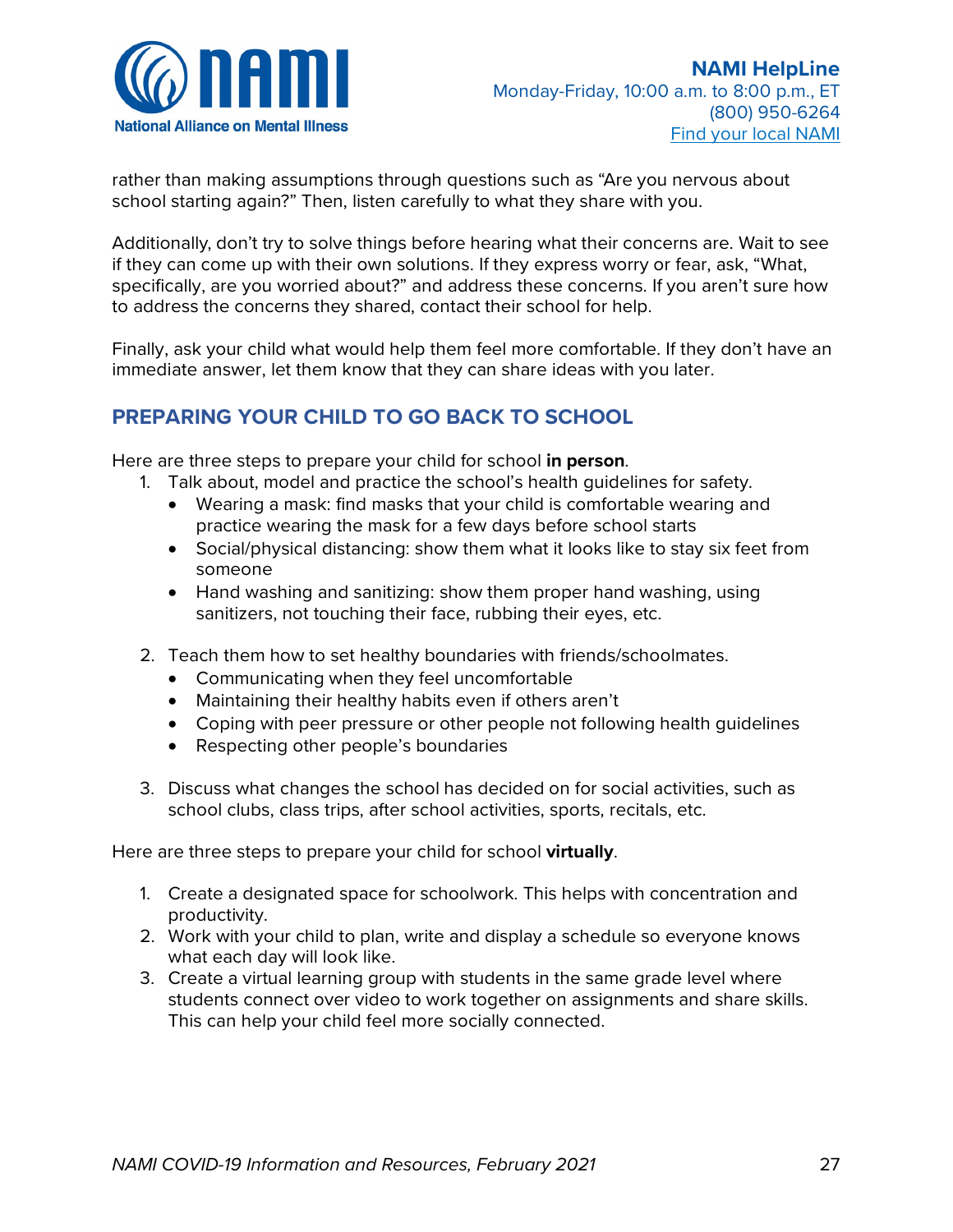

# **HOW CAN I SUPPORT MY CHILD GOING BACK TO SCHOOL?**

# **RETURNING TO SCHOOL: SUPPORTING CHILDREN'S MENTAL HEALTH**

It's normal to feel worried about your child's mental health as you send them back to school. Especially as kids face the uncertainty, change in routine, social isolation and fears that go along with this pandemic.

While these experiences can be challenging, there are things you can do to support your child's mental and emotional well-being when returning to school, whether it's virtually, in person or both.

# **UNDERSTANDING YOUR CHILD'S UPCOMING SCHOOL YEAR**

Circumstances and guidelines around the pandemic are constantly changing, and your plans may also need to change rapidly or unexpectedly.

It's important to read through your school's plan first, taking the time to ask questions, gather details and fully understand what this plan will look like for your family, including:

- Will classes be online, in-person or a combination
- What new protocols the school is following
- Who your child can talk to at the school if they have questions, feel unsafe or upset
- If your child has an Individualized [Education Plan \(IEP\),](https://kidshealth.org/es/parents/iep-esp.html?WT.ac=pairedLink) how will the school support it

Before talking to your child, take the time you to need to accept and plan for this new experience. You may need to talk with your employer about anything you need that allows you to support your child's school plan. The [Family Medical Leave Act \(FMLA\)](https://www.dol.gov/agencies/whd/fmla/pandemic) provides legal protections when caring for children during COVID-19.

# **TALKING WITH YOUR CHILD ABOUT THEIR RETURN TO SCHOOL**

If you are clear and calm about your child going back to school, they are less likely to feel stressed and anxious.

Start by sharing the information that is most relevant to them. For example, "Your school is going to do classes virtually for the next six weeks. Your teacher is going to send us some information about what your school day will look like. Do you have any questions?" Then, give them the time and space to discuss it with you.

It's also important to ask your child to share how they're feeling about going back to school. Phrase questions neutrally, such as "How are you feeling about school starting?"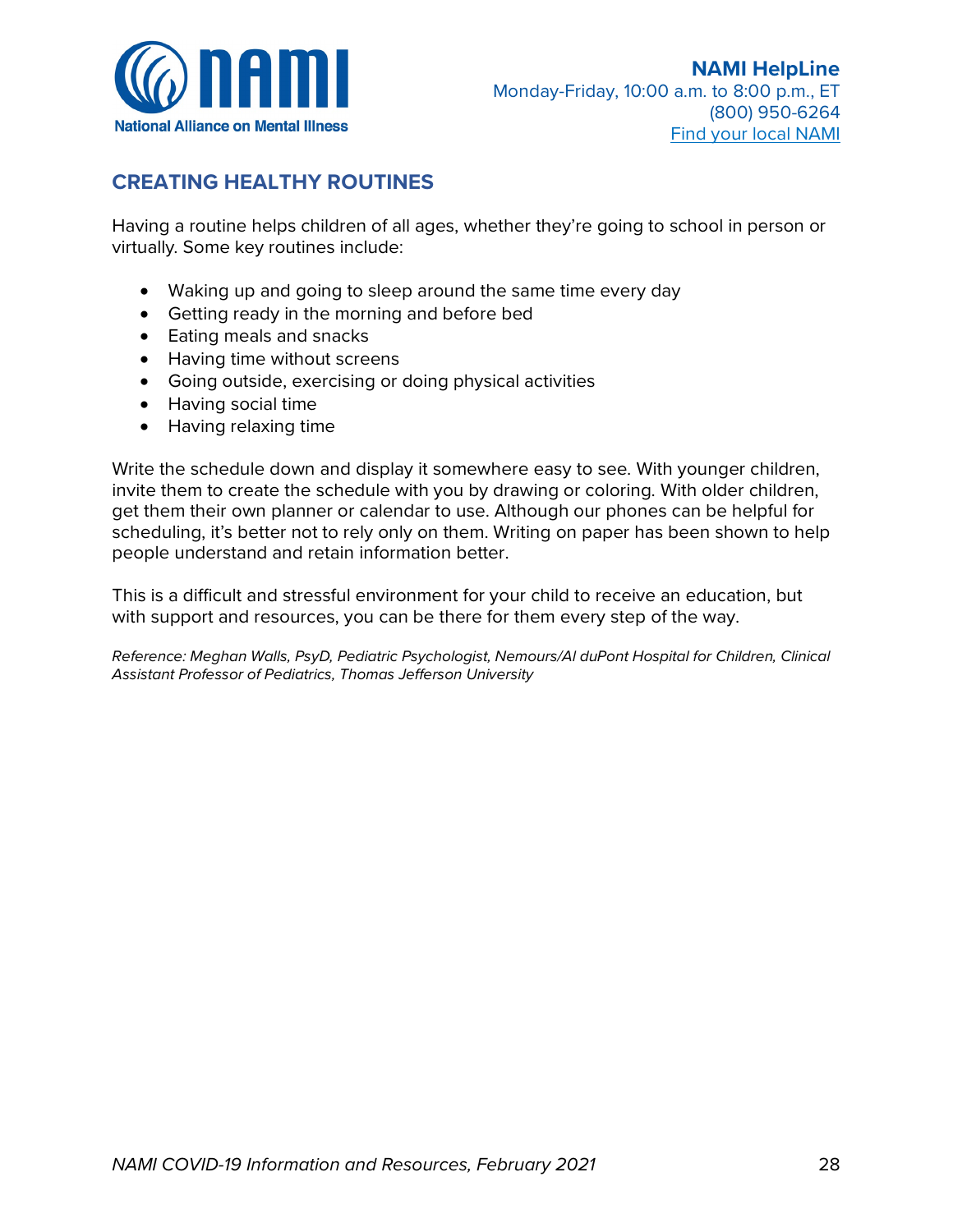

rather than making assumptions through questions such as "Are you nervous about school starting again?" Then, listen carefully to what they share with you.

Additionally, don't try to solve things before hearing what their concerns are. Wait to see if they can come up with their own solutions. If they express worry or fear, ask, "What, specifically, are you worried about?" and address these concerns. If you aren't sure how to address the concerns they shared, contact their school for help.

Finally, ask your child what would help them feel more comfortable. If they don't have an immediate answer, let them know that they can share ideas with you later.

# **PREPARING YOUR CHILD TO GO BACK TO SCHOOL**

Here are three steps to prepare your child for school **in person**.

- 1. Talk about, model and practice the school's health guidelines for safety.
	- Wearing a mask: find masks that your child is comfortable wearing and practice wearing the mask for a few days before school starts
	- Social/physical distancing: show them what it looks like to stay six feet from someone
	- Hand washing and sanitizing: show them proper hand washing, using sanitizers, not touching their face, rubbing their eyes, etc.
- 2. Teach them how to set healthy boundaries with friends/schoolmates.
	- Communicating when they feel uncomfortable
	- Maintaining their healthy habits even if others aren't
	- Coping with peer pressure or other people not following health guidelines
	- Respecting other people's boundaries
- 3. Discuss what changes the school has decided on for social activities, such as school clubs, class trips, after school activities, sports, recitals, etc.

Here are three steps to prepare your child for school **virtually**.

- 1. Create a designated space for schoolwork. This helps with concentration and productivity.
- 2. Work with your child to plan, write and display a schedule so everyone knows what each day will look like.
- 3. Create a virtual learning group with students in the same grade level where students connect over video to work together on assignments and share skills. This can help your child feel more socially connected.